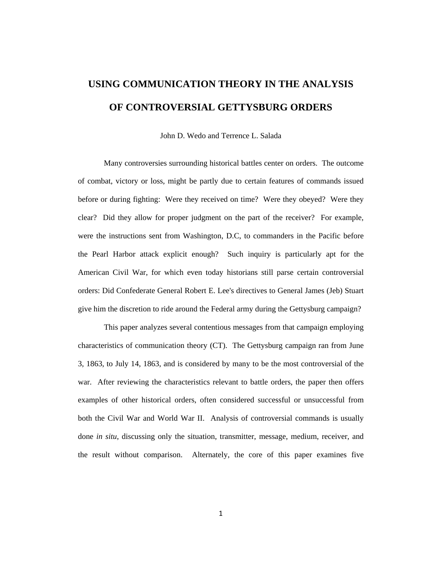# **USING COMMUNICATION THEORY IN THE ANALYSIS OF CONTROVERSIAL GETTYSBURG ORDERS**

John D. Wedo and Terrence L. Salada

Many controversies surrounding historical battles center on orders. The outcome of combat, victory or loss, might be partly due to certain features of commands issued before or during fighting: Were they received on time? Were they obeyed? Were they clear? Did they allow for proper judgment on the part of the receiver? For example, were the instructions sent from Washington, D.C, to commanders in the Pacific before the Pearl Harbor attack explicit enough? Such inquiry is particularly apt for the American Civil War, for which even today historians still parse certain controversial orders: Did Confederate General Robert E. Lee's directives to General James (Jeb) Stuart give him the discretion to ride around the Federal army during the Gettysburg campaign?

This paper analyzes several contentious messages from that campaign employing characteristics of communication theory (CT). The Gettysburg campaign ran from June 3, 1863, to July 14, 1863, and is considered by many to be the most controversial of the war. After reviewing the characteristics relevant to battle orders, the paper then offers examples of other historical orders, often considered successful or unsuccessful from both the Civil War and World War II. Analysis of controversial commands is usually done *in situ*, discussing only the situation, transmitter, message, medium, receiver, and the result without comparison. Alternately, the core of this paper examines five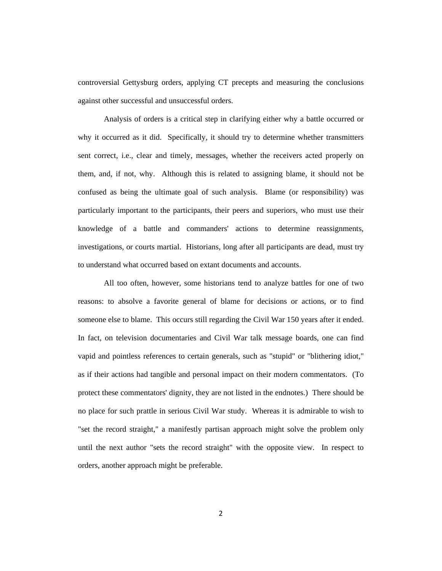controversial Gettysburg orders, applying CT precepts and measuring the conclusions against other successful and unsuccessful orders.

Analysis of orders is a critical step in clarifying either why a battle occurred or why it occurred as it did. Specifically, it should try to determine whether transmitters sent correct, i.e., clear and timely, messages, whether the receivers acted properly on them, and, if not, why. Although this is related to assigning blame, it should not be confused as being the ultimate goal of such analysis. Blame (or responsibility) was particularly important to the participants, their peers and superiors, who must use their knowledge of a battle and commanders' actions to determine reassignments, investigations, or courts martial. Historians, long after all participants are dead, must try to understand what occurred based on extant documents and accounts.

All too often, however, some historians tend to analyze battles for one of two reasons: to absolve a favorite general of blame for decisions or actions, or to find someone else to blame. This occurs still regarding the Civil War 150 years after it ended. In fact, on television documentaries and Civil War talk message boards, one can find vapid and pointless references to certain generals, such as "stupid" or "blithering idiot," as if their actions had tangible and personal impact on their modern commentators. (To protect these commentators' dignity, they are not listed in the endnotes.) There should be no place for such prattle in serious Civil War study. Whereas it is admirable to wish to "set the record straight," a manifestly partisan approach might solve the problem only until the next author "sets the record straight" with the opposite view. In respect to orders, another approach might be preferable.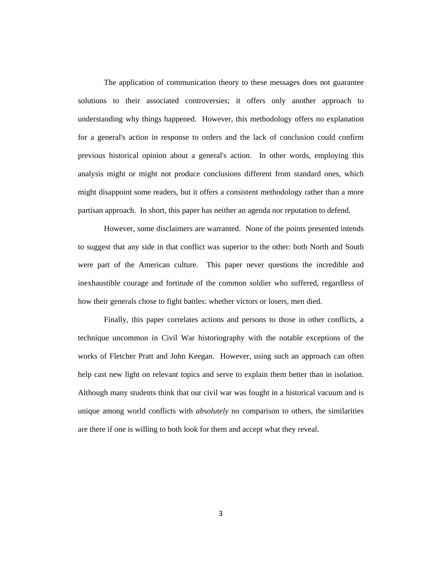The application of communication theory to these messages does not guarantee solutions to their associated controversies; it offers only another approach to understanding why things happened. However, this methodology offers no explanation for a general's action in response to orders and the lack of conclusion could confirm previous historical opinion about a general's action. In other words, employing this analysis might or might not produce conclusions different from standard ones, which might disappoint some readers, but it offers a consistent methodology rather than a more partisan approach. In short, this paper has neither an agenda nor reputation to defend.

However, some disclaimers are warranted. None of the points presented intends to suggest that any side in that conflict was superior to the other: both North and South were part of the American culture. This paper never questions the incredible and inexhaustible courage and fortitude of the common soldier who suffered, regardless of how their generals chose to fight battles: whether victors or losers, men died.

Finally, this paper correlates actions and persons to those in other conflicts, a technique uncommon in Civil War historiography with the notable exceptions of the works of Fletcher Pratt and John Keegan. However, using such an approach can often help cast new light on relevant topics and serve to explain them better than in isolation. Although many students think that our civil war was fought in a historical vacuum and is unique among world conflicts with *absolutely* no comparison to others, the similarities are there if one is willing to both look for them and accept what they reveal.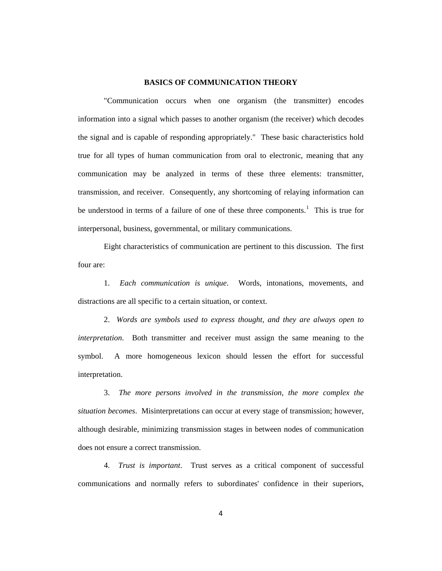## **BASICS OF COMMUNICATION THEORY**

"Communication occurs when one organism (the transmitter) encodes information into a signal which passes to another organism (the receiver) which decodes the signal and is capable of responding appropriately." These basic characteristics hold true for all types of human communication from oral to electronic, meaning that any communication may be analyzed in terms of these three elements: transmitter, transmission, and receiver. Consequently, any shortcoming of relaying information can be understood in terms of a failure of one of these three components.<sup>[1](#page-51-0)</sup> This is true for interpersonal, business, governmental, or military communications.

Eight characteristics of communication are pertinent to this discussion. The first four are:

1. *Each communication is unique*. Words, intonations, movements, and distractions are all specific to a certain situation, or context.

2. *Words are symbols used to express thought, and they are always open to interpretation*. Both transmitter and receiver must assign the same meaning to the symbol. A more homogeneous lexicon should lessen the effort for successful interpretation.

3. *The more persons involved in the transmission, the more complex the situation becomes*. Misinterpretations can occur at every stage of transmission; however, although desirable, minimizing transmission stages in between nodes of communication does not ensure a correct transmission.

4. *Trust is important*. Trust serves as a critical component of successful communications and normally refers to subordinates' confidence in their superiors,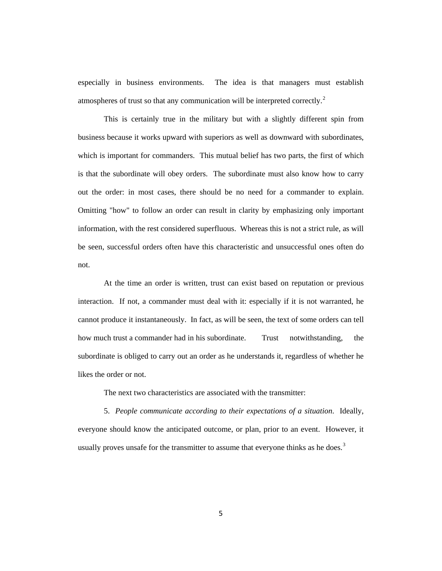especially in business environments. The idea is that managers must establish atmospheres of trust so that any communication will be interpreted correctly.<sup>[2](#page-52-0)</sup>

This is certainly true in the military but with a slightly different spin from business because it works upward with superiors as well as downward with subordinates, which is important for commanders. This mutual belief has two parts, the first of which is that the subordinate will obey orders. The subordinate must also know how to carry out the order: in most cases, there should be no need for a commander to explain. Omitting "how" to follow an order can result in clarity by emphasizing only important information, with the rest considered superfluous. Whereas this is not a strict rule, as will be seen, successful orders often have this characteristic and unsuccessful ones often do not.

At the time an order is written, trust can exist based on reputation or previous interaction. If not, a commander must deal with it: especially if it is not warranted, he cannot produce it instantaneously. In fact, as will be seen, the text of some orders can tell how much trust a commander had in his subordinate. Trust notwithstanding, the subordinate is obliged to carry out an order as he understands it, regardless of whether he likes the order or not.

The next two characteristics are associated with the transmitter:

5. *People communicate according to their expectations of a situation*. Ideally, everyone should know the anticipated outcome, or plan, prior to an event. However, it usually proves unsafe for the transmitter to assume that everyone thinks as he does.<sup>[3](#page-52-1)</sup>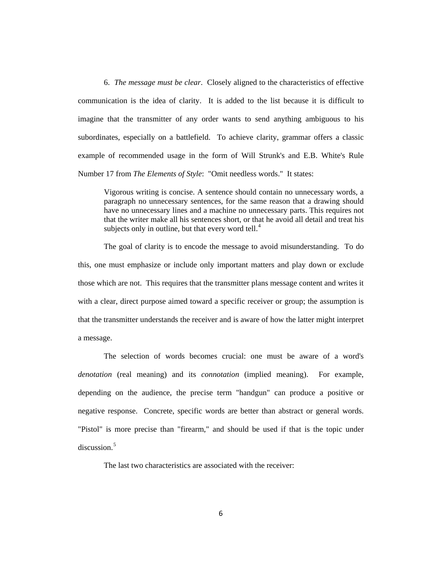6. *The message must be clear*. Closely aligned to the characteristics of effective communication is the idea of clarity. It is added to the list because it is difficult to imagine that the transmitter of any order wants to send anything ambiguous to his subordinates, especially on a battlefield. To achieve clarity, grammar offers a classic example of recommended usage in the form of Will Strunk's and E.B. White's Rule Number 17 from *The Elements of Style*: "Omit needless words." It states:

Vigorous writing is concise. A sentence should contain no unnecessary words, a paragraph no unnecessary sentences, for the same reason that a drawing should have no unnecessary lines and a machine no unnecessary parts. This requires not that the writer make all his sentences short, or that he avoid all detail and treat his subjects only in outline, but that every word tell. $4$ 

The goal of clarity is to encode the message to avoid misunderstanding. To do this, one must emphasize or include only important matters and play down or exclude those which are not. This requires that the transmitter plans message content and writes it with a clear, direct purpose aimed toward a specific receiver or group; the assumption is that the transmitter understands the receiver and is aware of how the latter might interpret a message.

The selection of words becomes crucial: one must be aware of a word's *denotation* (real meaning) and its *connotation* (implied meaning). For example, depending on the audience, the precise term "handgun" can produce a positive or negative response. Concrete, specific words are better than abstract or general words. "Pistol" is more precise than "firearm," and should be used if that is the topic under discussion.<sup>[5](#page-53-1)</sup>

The last two characteristics are associated with the receiver: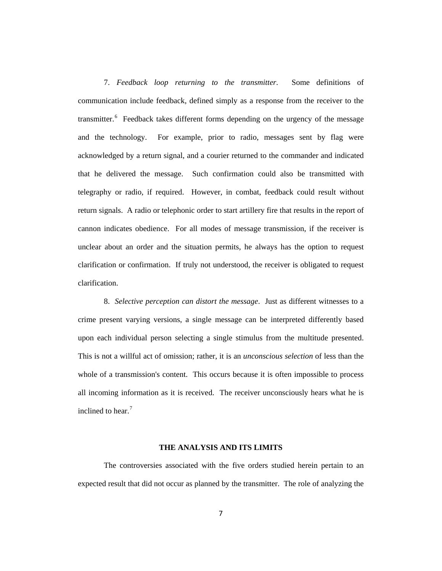7. *Feedback loop returning to the transmitter*. Some definitions of communication include feedback, defined simply as a response from the receiver to the transmitter.<sup>[6](#page-54-0)</sup> Feedback takes different forms depending on the urgency of the message and the technology. For example, prior to radio, messages sent by flag were acknowledged by a return signal, and a courier returned to the commander and indicated that he delivered the message. Such confirmation could also be transmitted with telegraphy or radio, if required. However, in combat, feedback could result without return signals. A radio or telephonic order to start artillery fire that results in the report of cannon indicates obedience. For all modes of message transmission, if the receiver is unclear about an order and the situation permits, he always has the option to request clarification or confirmation. If truly not understood, the receiver is obligated to request clarification.

8. *Selective perception can distort the message*. Just as different witnesses to a crime present varying versions, a single message can be interpreted differently based upon each individual person selecting a single stimulus from the multitude presented. This is not a willful act of omission; rather, it is an *unconscious selection* of less than the whole of a transmission's content. This occurs because it is often impossible to process all incoming information as it is received. The receiver unconsciously hears what he is inclined to hear.<sup>[7](#page-54-1)</sup>

#### **THE ANALYSIS AND ITS LIMITS**

The controversies associated with the five orders studied herein pertain to an expected result that did not occur as planned by the transmitter. The role of analyzing the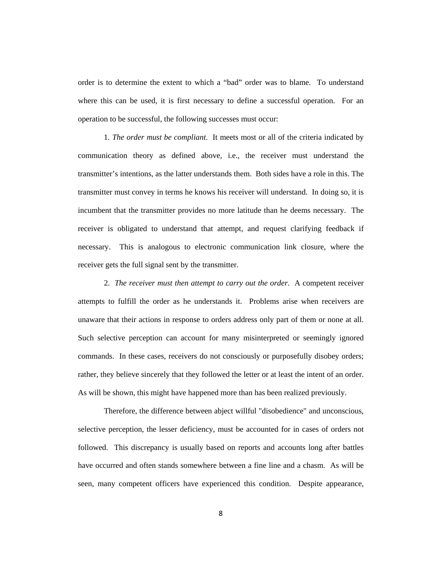order is to determine the extent to which a "bad" order was to blame. To understand where this can be used, it is first necessary to define a successful operation. For an operation to be successful, the following successes must occur:

1*. The order must be compliant*. It meets most or all of the criteria indicated by communication theory as defined above, i.e., the receiver must understand the transmitter's intentions, as the latter understands them. Both sides have a role in this. The transmitter must convey in terms he knows his receiver will understand. In doing so, it is incumbent that the transmitter provides no more latitude than he deems necessary. The receiver is obligated to understand that attempt, and request clarifying feedback if necessary. This is analogous to electronic communication link closure, where the receiver gets the full signal sent by the transmitter.

2. *The receiver must then attempt to carry out the order*. A competent receiver attempts to fulfill the order as he understands it. Problems arise when receivers are unaware that their actions in response to orders address only part of them or none at all. Such selective perception can account for many misinterpreted or seemingly ignored commands. In these cases, receivers do not consciously or purposefully disobey orders; rather, they believe sincerely that they followed the letter or at least the intent of an order. As will be shown, this might have happened more than has been realized previously.

Therefore, the difference between abject willful "disobedience" and unconscious, selective perception, the lesser deficiency, must be accounted for in cases of orders not followed. This discrepancy is usually based on reports and accounts long after battles have occurred and often stands somewhere between a fine line and a chasm. As will be seen, many competent officers have experienced this condition. Despite appearance,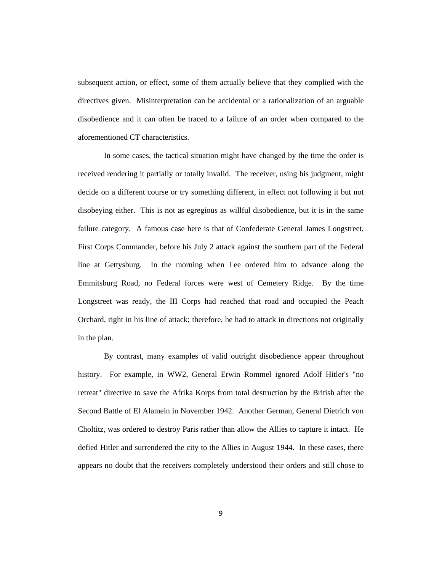subsequent action, or effect, some of them actually believe that they complied with the directives given. Misinterpretation can be accidental or a rationalization of an arguable disobedience and it can often be traced to a failure of an order when compared to the aforementioned CT characteristics.

In some cases, the tactical situation might have changed by the time the order is received rendering it partially or totally invalid. The receiver, using his judgment, might decide on a different course or try something different, in effect not following it but not disobeying either. This is not as egregious as willful disobedience, but it is in the same failure category. A famous case here is that of Confederate General James Longstreet, First Corps Commander, before his July 2 attack against the southern part of the Federal line at Gettysburg. In the morning when Lee ordered him to advance along the Emmitsburg Road, no Federal forces were west of Cemetery Ridge. By the time Longstreet was ready, the III Corps had reached that road and occupied the Peach Orchard, right in his line of attack; therefore, he had to attack in directions not originally in the plan.

By contrast, many examples of valid outright disobedience appear throughout history. For example, in WW2, General Erwin Rommel ignored Adolf Hitler's "no retreat" directive to save the Afrika Korps from total destruction by the British after the Second Battle of El Alamein in November 1942. Another German, General Dietrich von Choltitz, was ordered to destroy Paris rather than allow the Allies to capture it intact. He defied Hitler and surrendered the city to the Allies in August 1944. In these cases, there appears no doubt that the receivers completely understood their orders and still chose to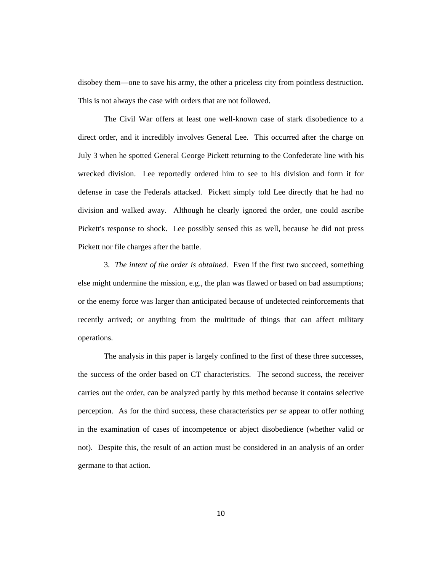disobey them—one to save his army, the other a priceless city from pointless destruction. This is not always the case with orders that are not followed.

The Civil War offers at least one well-known case of stark disobedience to a direct order, and it incredibly involves General Lee. This occurred after the charge on July 3 when he spotted General George Pickett returning to the Confederate line with his wrecked division. Lee reportedly ordered him to see to his division and form it for defense in case the Federals attacked. Pickett simply told Lee directly that he had no division and walked away. Although he clearly ignored the order, one could ascribe Pickett's response to shock. Lee possibly sensed this as well, because he did not press Pickett nor file charges after the battle.

3. *The intent of the order is obtained*. Even if the first two succeed, something else might undermine the mission, e.g., the plan was flawed or based on bad assumptions; or the enemy force was larger than anticipated because of undetected reinforcements that recently arrived; or anything from the multitude of things that can affect military operations.

The analysis in this paper is largely confined to the first of these three successes, the success of the order based on CT characteristics. The second success, the receiver carries out the order, can be analyzed partly by this method because it contains selective perception. As for the third success, these characteristics *per se* appear to offer nothing in the examination of cases of incompetence or abject disobedience (whether valid or not). Despite this, the result of an action must be considered in an analysis of an order germane to that action.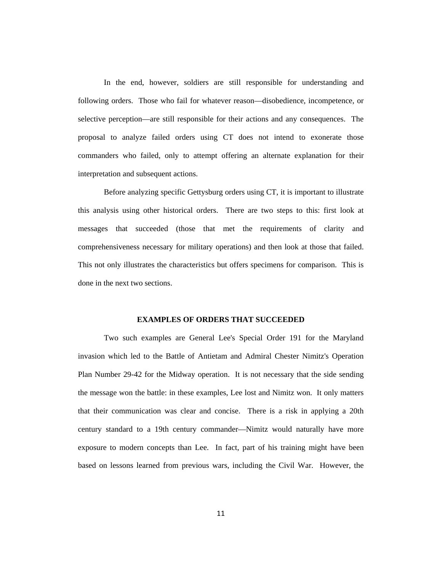In the end, however, soldiers are still responsible for understanding and following orders. Those who fail for whatever reason—disobedience, incompetence, or selective perception—are still responsible for their actions and any consequences. The proposal to analyze failed orders using CT does not intend to exonerate those commanders who failed, only to attempt offering an alternate explanation for their interpretation and subsequent actions.

Before analyzing specific Gettysburg orders using CT, it is important to illustrate this analysis using other historical orders. There are two steps to this: first look at messages that succeeded (those that met the requirements of clarity and comprehensiveness necessary for military operations) and then look at those that failed. This not only illustrates the characteristics but offers specimens for comparison. This is done in the next two sections.

#### **EXAMPLES OF ORDERS THAT SUCCEEDED**

Two such examples are General Lee's Special Order 191 for the Maryland invasion which led to the Battle of Antietam and Admiral Chester Nimitz's Operation Plan Number 29-42 for the Midway operation. It is not necessary that the side sending the message won the battle: in these examples, Lee lost and Nimitz won. It only matters that their communication was clear and concise. There is a risk in applying a 20th century standard to a 19th century commander—Nimitz would naturally have more exposure to modern concepts than Lee. In fact, part of his training might have been based on lessons learned from previous wars, including the Civil War. However, the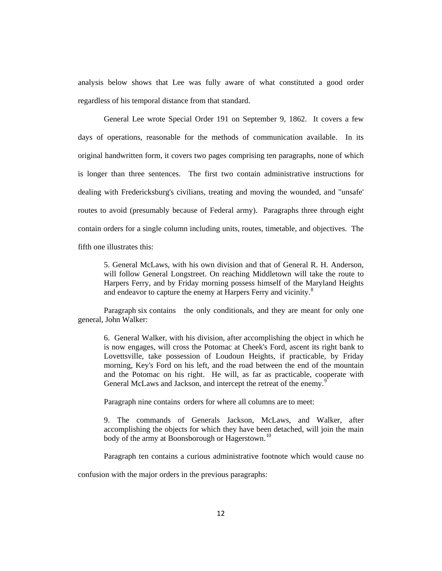analysis below shows that Lee was fully aware of what constituted a good order regardless of his temporal distance from that standard.

General Lee wrote Special Order 191 on September 9, 1862. It covers a few days of operations, reasonable for the methods of communication available. In its original handwritten form, it covers two pages comprising ten paragraphs, none of which is longer than three sentences. The first two contain administrative instructions for dealing with Fredericksburg's civilians, treating and moving the wounded, and "unsafe' routes to avoid (presumably because of Federal army). Paragraphs three through eight contain orders for a single column including units, routes, timetable, and objectives. The fifth one illustrates this:

5. General McLaws, with his own division and that of General R. H. Anderson, will follow General Longstreet. On reaching Middletown will take the route to Harpers Ferry, and by Friday morning possess himself of the Maryland Heights and endeavor to capture the enemy at Harpers Ferry and vicinity.<sup>[8](#page-54-2)</sup>

Paragraph six contains the only conditionals, and they are meant for only one general, John Walker:

6. General Walker, with his division, after accomplishing the object in which he is now engages, will cross the Potomac at Cheek's Ford, ascent its right bank to Lovettsville, take possession of Loudoun Heights, if practicable, by Friday morning, Key's Ford on his left, and the road between the end of the mountain and the Potomac on his right. He will, as far as practicable, cooperate with General McLaws and Jackson, and intercept the retreat of the enemy.<sup>[9](#page-54-3)</sup>

Paragraph nine contains orders for where all columns are to meet:

9. The commands of Generals Jackson, McLaws, and Walker, after accomplishing the objects for which they have been detached, will join the main body of the army at Boonsborough or Hagerstown.<sup>[10](#page-54-4)</sup>

Paragraph ten contains a curious administrative footnote which would cause no

confusion with the major orders in the previous paragraphs: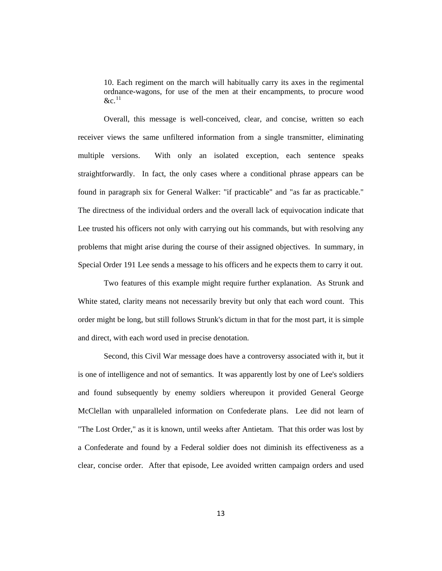10. Each regiment on the march will habitually carry its axes in the regimental ordnance-wagons, for use of the men at their encampments, to procure wood  $\&c^{-11}$  $\&c^{-11}$  $\&c^{-11}$ 

Overall, this message is well-conceived, clear, and concise, written so each receiver views the same unfiltered information from a single transmitter, eliminating multiple versions. With only an isolated exception, each sentence speaks straightforwardly. In fact, the only cases where a conditional phrase appears can be found in paragraph six for General Walker: "if practicable" and "as far as practicable." The directness of the individual orders and the overall lack of equivocation indicate that Lee trusted his officers not only with carrying out his commands, but with resolving any problems that might arise during the course of their assigned objectives. In summary, in Special Order 191 Lee sends a message to his officers and he expects them to carry it out.

Two features of this example might require further explanation. As Strunk and White stated, clarity means not necessarily brevity but only that each word count. This order might be long, but still follows Strunk's dictum in that for the most part, it is simple and direct, with each word used in precise denotation.

Second, this Civil War message does have a controversy associated with it, but it is one of intelligence and not of semantics. It was apparently lost by one of Lee's soldiers and found subsequently by enemy soldiers whereupon it provided General George McClellan with unparalleled information on Confederate plans. Lee did not learn of "The Lost Order," as it is known, until weeks after Antietam. That this order was lost by a Confederate and found by a Federal soldier does not diminish its effectiveness as a clear, concise order. After that episode, Lee avoided written campaign orders and used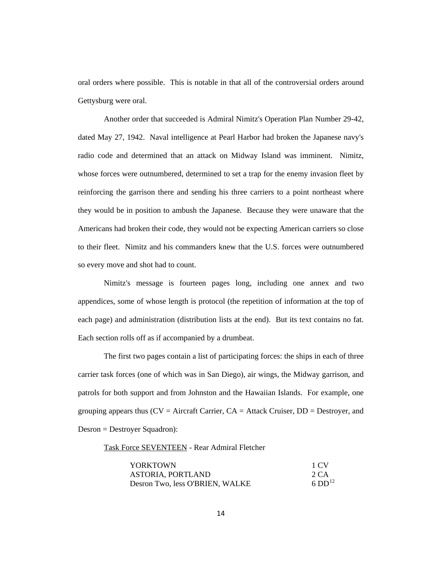oral orders where possible. This is notable in that all of the controversial orders around Gettysburg were oral.

Another order that succeeded is Admiral Nimitz's Operation Plan Number 29-42, dated May 27, 1942. Naval intelligence at Pearl Harbor had broken the Japanese navy's radio code and determined that an attack on Midway Island was imminent. Nimitz, whose forces were outnumbered, determined to set a trap for the enemy invasion fleet by reinforcing the garrison there and sending his three carriers to a point northeast where they would be in position to ambush the Japanese. Because they were unaware that the Americans had broken their code, they would not be expecting American carriers so close to their fleet. Nimitz and his commanders knew that the U.S. forces were outnumbered so every move and shot had to count.

Nimitz's message is fourteen pages long, including one annex and two appendices, some of whose length is protocol (the repetition of information at the top of each page) and administration (distribution lists at the end). But its text contains no fat. Each section rolls off as if accompanied by a drumbeat.

The first two pages contain a list of participating forces: the ships in each of three carrier task forces (one of which was in San Diego), air wings, the Midway garrison, and patrols for both support and from Johnston and the Hawaiian Islands. For example, one grouping appears thus  $(CV =$  Aircraft Carrier,  $CA =$  Attack Cruiser,  $DD =$  Destroyer, and Desron = Destroyer Squadron):

Task Force SEVENTEEN - Rear Admiral Fletcher

| <b>YORKTOWN</b>                 | 1 CV                 |
|---------------------------------|----------------------|
| ASTORIA, PORTLAND               | 2 CA                 |
| Desron Two, less O'BRIEN, WALKE | $6$ DD <sup>12</sup> |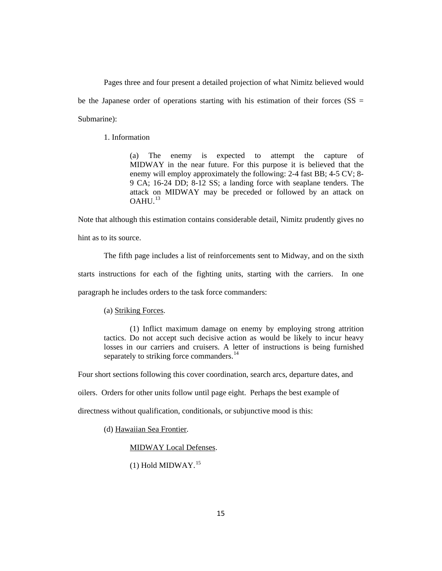Pages three and four present a detailed projection of what Nimitz believed would be the Japanese order of operations starting with his estimation of their forces ( $SS =$ Submarine):

1. Information

(a) The enemy is expected to attempt the capture of MIDWAY in the near future. For this purpose it is believed that the enemy will employ approximately the following: 2-4 fast BB; 4-5 CV; 8- 9 CA; 16-24 DD; 8-12 SS; a landing force with seaplane tenders. The attack on MIDWAY may be preceded or followed by an attack on  $OAHU<sup>13</sup>$  $OAHU<sup>13</sup>$  $OAHU<sup>13</sup>$ 

Note that although this estimation contains considerable detail, Nimitz prudently gives no hint as to its source.

The fifth page includes a list of reinforcements sent to Midway, and on the sixth starts instructions for each of the fighting units, starting with the carriers. In one paragraph he includes orders to the task force commanders:

## (a) Striking Forces.

(1) Inflict maximum damage on enemy by employing strong attrition tactics. Do not accept such decisive action as would be likely to incur heavy losses in our carriers and cruisers. A letter of instructions is being furnished separately to striking force commanders.<sup>[14](#page-54-8)</sup>

Four short sections following this cover coordination, search arcs, departure dates, and

oilers. Orders for other units follow until page eight. Perhaps the best example of

directness without qualification, conditionals, or subjunctive mood is this:

(d) Hawaiian Sea Frontier.

MIDWAY Local Defenses.

 $(1)$  Hold MIDWAY.<sup>[15](#page-54-9)</sup>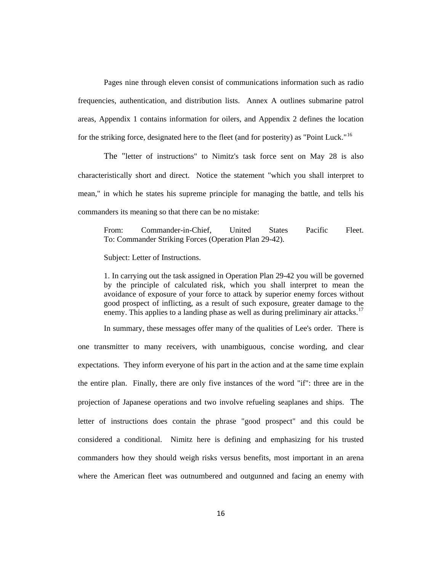Pages nine through eleven consist of communications information such as radio frequencies, authentication, and distribution lists. Annex A outlines submarine patrol areas, Appendix 1 contains information for oilers, and Appendix 2 defines the location for the striking force, designated here to the fleet (and for posterity) as "Point Luck."<sup>[16](#page-54-10)</sup>

The "letter of instructions" to Nimitz's task force sent on May 28 is also characteristically short and direct. Notice the statement "which you shall interpret to mean," in which he states his supreme principle for managing the battle, and tells his commanders its meaning so that there can be no mistake:

From: Commander-in-Chief, United States Pacific Fleet. To: Commander Striking Forces (Operation Plan 29-42).

Subject: Letter of Instructions.

1. In carrying out the task assigned in Operation Plan 29-42 you will be governed by the principle of calculated risk, which you shall interpret to mean the avoidance of exposure of your force to attack by superior enemy forces without good prospect of inflicting, as a result of such exposure, greater damage to the enemy. This applies to a landing phase as well as during preliminary air attacks.<sup>[17](#page-54-11)</sup>

In summary, these messages offer many of the qualities of Lee's order. There is one transmitter to many receivers, with unambiguous, concise wording, and clear expectations. They inform everyone of his part in the action and at the same time explain the entire plan. Finally, there are only five instances of the word "if": three are in the projection of Japanese operations and two involve refueling seaplanes and ships. The letter of instructions does contain the phrase "good prospect" and this could be considered a conditional. Nimitz here is defining and emphasizing for his trusted commanders how they should weigh risks versus benefits, most important in an arena where the American fleet was outnumbered and outgunned and facing an enemy with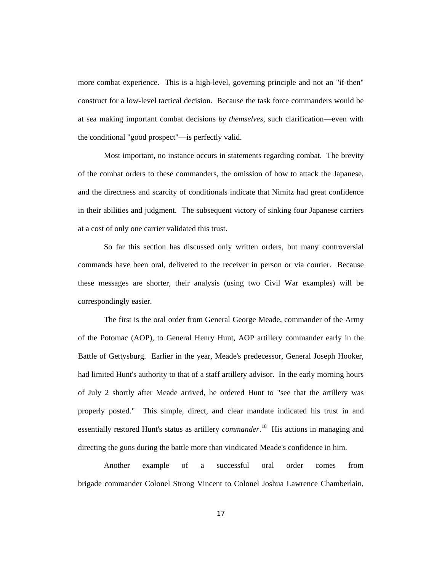more combat experience. This is a high-level, governing principle and not an "if-then" construct for a low-level tactical decision. Because the task force commanders would be at sea making important combat decisions *by themselves*, such clarification—even with the conditional "good prospect"—is perfectly valid.

Most important, no instance occurs in statements regarding combat. The brevity of the combat orders to these commanders, the omission of how to attack the Japanese, and the directness and scarcity of conditionals indicate that Nimitz had great confidence in their abilities and judgment. The subsequent victory of sinking four Japanese carriers at a cost of only one carrier validated this trust.

So far this section has discussed only written orders, but many controversial commands have been oral, delivered to the receiver in person or via courier. Because these messages are shorter, their analysis (using two Civil War examples) will be correspondingly easier.

The first is the oral order from General George Meade, commander of the Army of the Potomac (AOP), to General Henry Hunt, AOP artillery commander early in the Battle of Gettysburg. Earlier in the year, Meade's predecessor, General Joseph Hooker, had limited Hunt's authority to that of a staff artillery advisor. In the early morning hours of July 2 shortly after Meade arrived, he ordered Hunt to "see that the artillery was properly posted." This simple, direct, and clear mandate indicated his trust in and essentially restored Hunt's status as artillery *commander*.<sup>18</sup> His actions in managing and directing the guns during the battle more than vindicated Meade's confidence in him.

Another example of a successful oral order comes from brigade commander Colonel Strong Vincent to Colonel Joshua Lawrence Chamberlain,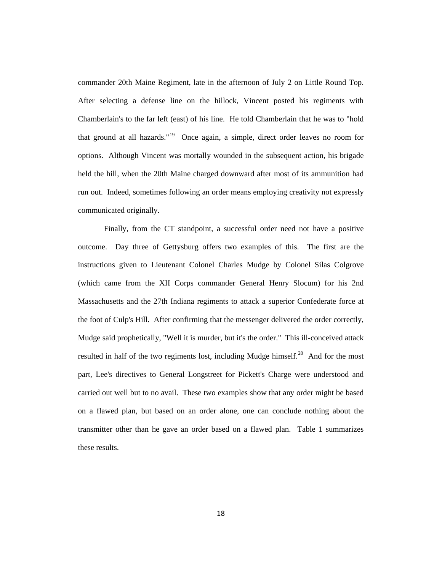commander 20th Maine Regiment, late in the afternoon of July 2 on Little Round Top. After selecting a defense line on the hillock, Vincent posted his regiments with Chamberlain's to the far left (east) of his line. He told Chamberlain that he was to "hold that ground at all hazards."[19](#page-54-13) Once again, a simple, direct order leaves no room for options. Although Vincent was mortally wounded in the subsequent action, his brigade held the hill, when the 20th Maine charged downward after most of its ammunition had run out. Indeed, sometimes following an order means employing creativity not expressly communicated originally.

Finally, from the CT standpoint, a successful order need not have a positive outcome. Day three of Gettysburg offers two examples of this. The first are the instructions given to Lieutenant Colonel Charles Mudge by Colonel Silas Colgrove (which came from the XII Corps commander General Henry Slocum) for his 2nd Massachusetts and the 27th Indiana regiments to attack a superior Confederate force at the foot of Culp's Hill. After confirming that the messenger delivered the order correctly, Mudge said prophetically, "Well it is murder, but it's the order." This ill-conceived attack resulted in half of the two regiments lost, including Mudge himself.<sup>[20](#page-54-14)</sup> And for the most part, Lee's directives to General Longstreet for Pickett's Charge were understood and carried out well but to no avail. These two examples show that any order might be based on a flawed plan, but based on an order alone, one can conclude nothing about the transmitter other than he gave an order based on a flawed plan. Table 1 summarizes these results.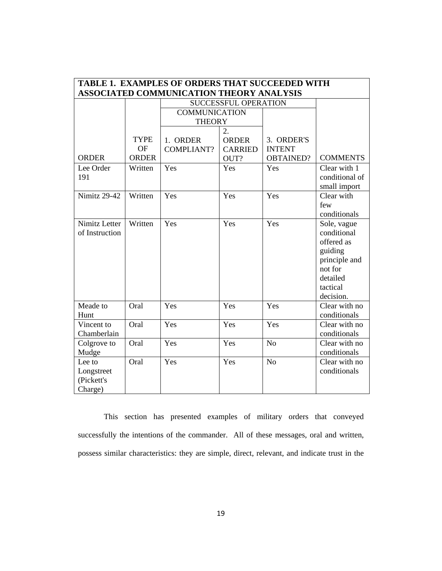| <b>TABLE 1. EXAMPLES OF ORDERS THAT SUCCEEDED WITH</b> |              |                      |                             |                  |                 |  |
|--------------------------------------------------------|--------------|----------------------|-----------------------------|------------------|-----------------|--|
| ASSOCIATED COMMUNICATION THEORY ANALYSIS               |              |                      |                             |                  |                 |  |
|                                                        |              |                      | <b>SUCCESSFUL OPERATION</b> |                  |                 |  |
|                                                        |              | <b>COMMUNICATION</b> |                             |                  |                 |  |
|                                                        |              | <b>THEORY</b>        |                             |                  |                 |  |
|                                                        |              |                      | 2.                          |                  |                 |  |
|                                                        | <b>TYPE</b>  | 1. ORDER             | <b>ORDER</b>                | 3. ORDER'S       |                 |  |
|                                                        | <b>OF</b>    | <b>COMPLIANT?</b>    | <b>CARRIED</b>              | <b>INTENT</b>    |                 |  |
| <b>ORDER</b>                                           | <b>ORDER</b> |                      | OUT?                        | <b>OBTAINED?</b> | <b>COMMENTS</b> |  |
| Lee Order                                              | Written      | Yes                  | Yes                         | Yes              | Clear with 1    |  |
| 191                                                    |              |                      |                             |                  | conditional of  |  |
|                                                        |              |                      |                             |                  | small import    |  |
| <b>Nimitz 29-42</b>                                    | Written      | Yes                  | Yes                         | Yes              | Clear with      |  |
|                                                        |              |                      |                             |                  | few             |  |
|                                                        |              |                      |                             |                  | conditionals    |  |
| Nimitz Letter                                          | Written      | Yes                  | Yes                         | Yes              | Sole, vague     |  |
| of Instruction                                         |              |                      |                             |                  | conditional     |  |
|                                                        |              |                      |                             |                  | offered as      |  |
|                                                        |              |                      |                             |                  | guiding         |  |
|                                                        |              |                      |                             |                  | principle and   |  |
|                                                        |              |                      |                             |                  | not for         |  |
|                                                        |              |                      |                             |                  | detailed        |  |
|                                                        |              |                      |                             |                  | tactical        |  |
|                                                        |              |                      |                             |                  | decision.       |  |
| Meade to                                               | Oral         | Yes                  | Yes                         | Yes              | Clear with no   |  |
| Hunt                                                   |              |                      |                             |                  | conditionals    |  |
| Vincent to                                             | Oral         | Yes                  | Yes                         | Yes              | Clear with no   |  |
| Chamberlain                                            |              |                      |                             |                  | conditionals    |  |
| Colgrove to                                            | Oral         | Yes                  | Yes                         | N <sub>o</sub>   | Clear with no   |  |
| Mudge                                                  |              |                      |                             |                  | conditionals    |  |
| Lee to                                                 | Oral         | Yes                  | Yes                         | N <sub>o</sub>   | Clear with no   |  |
| Longstreet                                             |              |                      |                             |                  | conditionals    |  |
| (Pickett's                                             |              |                      |                             |                  |                 |  |
| Charge)                                                |              |                      |                             |                  |                 |  |

This section has presented examples of military orders that conveyed successfully the intentions of the commander. All of these messages, oral and written, possess similar characteristics: they are simple, direct, relevant, and indicate trust in the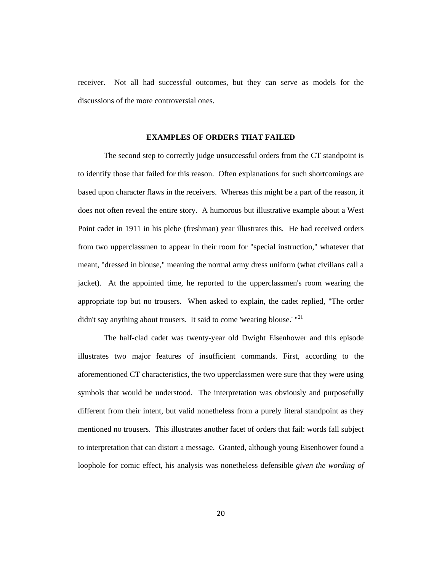receiver. Not all had successful outcomes, but they can serve as models for the discussions of the more controversial ones.

#### **EXAMPLES OF ORDERS THAT FAILED**

The second step to correctly judge unsuccessful orders from the CT standpoint is to identify those that failed for this reason. Often explanations for such shortcomings are based upon character flaws in the receivers. Whereas this might be a part of the reason, it does not often reveal the entire story. A humorous but illustrative example about a West Point cadet in 1911 in his plebe (freshman) year illustrates this. He had received orders from two upperclassmen to appear in their room for "special instruction," whatever that meant, "dressed in blouse," meaning the normal army dress uniform (what civilians call a jacket). At the appointed time, he reported to the upperclassmen's room wearing the appropriate top but no trousers. When asked to explain, the cadet replied, "The order didn't say anything about trousers. It said to come 'wearing blouse.' "<sup>[21](#page-54-15)</sup>

The half-clad cadet was twenty-year old Dwight Eisenhower and this episode illustrates two major features of insufficient commands. First, according to the aforementioned CT characteristics, the two upperclassmen were sure that they were using symbols that would be understood. The interpretation was obviously and purposefully different from their intent, but valid nonetheless from a purely literal standpoint as they mentioned no trousers. This illustrates another facet of orders that fail: words fall subject to interpretation that can distort a message. Granted, although young Eisenhower found a loophole for comic effect, his analysis was nonetheless defensible *given the wording of*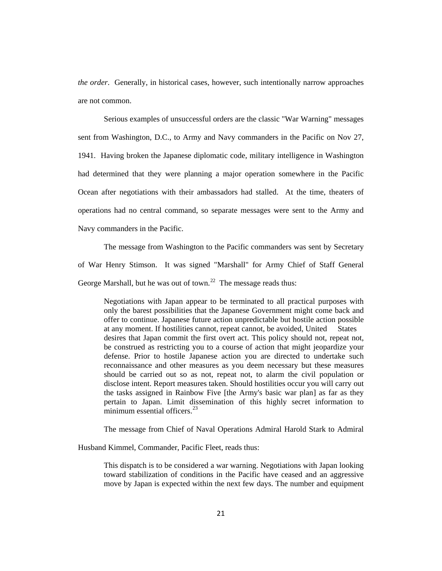*the order*. Generally, in historical cases, however, such intentionally narrow approaches are not common.

Serious examples of unsuccessful orders are the classic "War Warning" messages sent from Washington, D.C., to Army and Navy commanders in the Pacific on Nov 27, 1941. Having broken the Japanese diplomatic code, military intelligence in Washington had determined that they were planning a major operation somewhere in the Pacific Ocean after negotiations with their ambassadors had stalled. At the time, theaters of operations had no central command, so separate messages were sent to the Army and Navy commanders in the Pacific.

The message from Washington to the Pacific commanders was sent by Secretary of War Henry Stimson. It was signed "Marshall" for Army Chief of Staff General George Marshall, but he was out of town.<sup>22</sup> The message reads thus:

Negotiations with Japan appear to be terminated to all practical purposes with only the barest possibilities that the Japanese Government might come back and offer to continue. Japanese future action unpredictable but hostile action possible at any moment. If hostilities cannot, repeat cannot, be avoided, United States desires that Japan commit the first overt act. This policy should not, repeat not, be construed as restricting you to a course of action that might jeopardize your defense. Prior to hostile Japanese action you are directed to undertake such reconnaissance and other measures as you deem necessary but these measures should be carried out so as not, repeat not, to alarm the civil population or disclose intent. Report measures taken. Should hostilities occur you will carry out the tasks assigned in Rainbow Five [the Army's basic war plan] as far as they pertain to Japan. Limit dissemination of this highly secret information to minimum essential officers.<sup>[23](#page-54-17)</sup>

The message from Chief of Naval Operations Admiral Harold Stark to Admiral

Husband Kimmel, Commander, Pacific Fleet, reads thus:

This dispatch is to be considered a war warning. Negotiations with Japan looking toward stabilization of conditions in the Pacific have ceased and an aggressive move by Japan is expected within the next few days. The number and equipment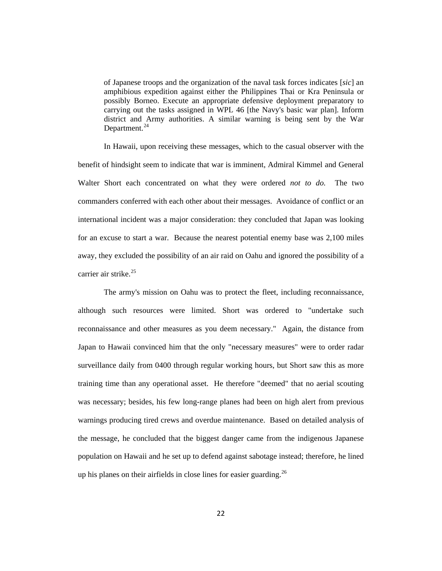of Japanese troops and the organization of the naval task forces indicates [*sic*] an amphibious expedition against either the Philippines Thai or Kra Peninsula or possibly Borneo. Execute an appropriate defensive deployment preparatory to carrying out the tasks assigned in WPL 46 [the Navy's basic war plan]. Inform district and Army authorities. A similar warning is being sent by the War Department. $^{24}$  $^{24}$  $^{24}$ 

In Hawaii, upon receiving these messages, which to the casual observer with the benefit of hindsight seem to indicate that war is imminent, Admiral Kimmel and General Walter Short each concentrated on what they were ordered *not to do*. The two commanders conferred with each other about their messages. Avoidance of conflict or an international incident was a major consideration: they concluded that Japan was looking for an excuse to start a war. Because the nearest potential enemy base was 2,100 miles away, they excluded the possibility of an air raid on Oahu and ignored the possibility of a carrier air strike.<sup>[25](#page-54-19)</sup>

The army's mission on Oahu was to protect the fleet, including reconnaissance, although such resources were limited. Short was ordered to "undertake such reconnaissance and other measures as you deem necessary." Again, the distance from Japan to Hawaii convinced him that the only "necessary measures" were to order radar surveillance daily from 0400 through regular working hours, but Short saw this as more training time than any operational asset. He therefore "deemed" that no aerial scouting was necessary; besides, his few long-range planes had been on high alert from previous warnings producing tired crews and overdue maintenance. Based on detailed analysis of the message, he concluded that the biggest danger came from the indigenous Japanese population on Hawaii and he set up to defend against sabotage instead; therefore, he lined up his planes on their airfields in close lines for easier guarding.<sup>[26](#page-54-20)</sup>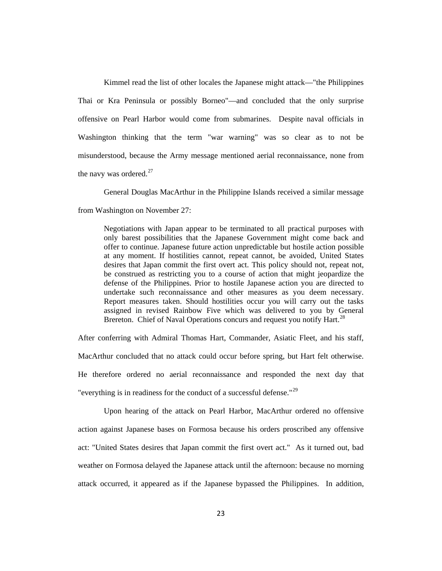Kimmel read the list of other locales the Japanese might attack—"the Philippines Thai or Kra Peninsula or possibly Borneo"—and concluded that the only surprise offensive on Pearl Harbor would come from submarines. Despite naval officials in Washington thinking that the term "war warning" was so clear as to not be misunderstood, because the Army message mentioned aerial reconnaissance, none from the navy was ordered.<sup>[27](#page-54-21)</sup>

General Douglas MacArthur in the Philippine Islands received a similar message

from Washington on November 27:

Negotiations with Japan appear to be terminated to all practical purposes with only barest possibilities that the Japanese Government might come back and offer to continue. Japanese future action unpredictable but hostile action possible at any moment. If hostilities cannot, repeat cannot, be avoided, United States desires that Japan commit the first overt act. This policy should not, repeat not, be construed as restricting you to a course of action that might jeopardize the defense of the Philippines. Prior to hostile Japanese action you are directed to undertake such reconnaissance and other measures as you deem necessary. Report measures taken. Should hostilities occur you will carry out the tasks assigned in revised Rainbow Five which was delivered to you by General Brereton. Chief of Naval Operations concurs and request you notify Hart.<sup>[28](#page-54-5)</sup>

After conferring with Admiral Thomas Hart, Commander, Asiatic Fleet, and his staff, MacArthur concluded that no attack could occur before spring, but Hart felt otherwise. He therefore ordered no aerial reconnaissance and responded the next day that "everything is in readiness for the conduct of a successful defense."[29](#page-54-22)

Upon hearing of the attack on Pearl Harbor, MacArthur ordered no offensive action against Japanese bases on Formosa because his orders proscribed any offensive act: "United States desires that Japan commit the first overt act." As it turned out, bad weather on Formosa delayed the Japanese attack until the afternoon: because no morning attack occurred, it appeared as if the Japanese bypassed the Philippines. In addition,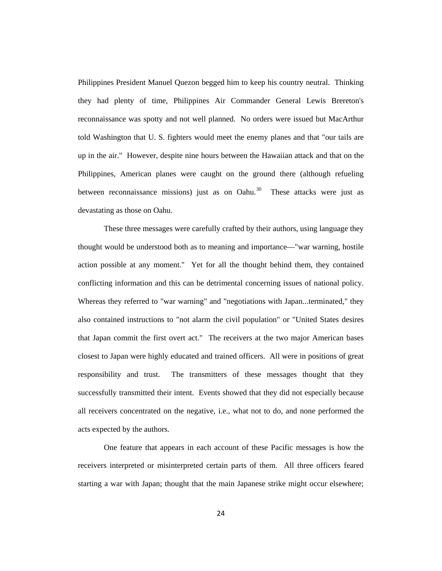Philippines President Manuel Quezon begged him to keep his country neutral. Thinking they had plenty of time, Philippines Air Commander General Lewis Brereton's reconnaissance was spotty and not well planned. No orders were issued but MacArthur told Washington that U. S. fighters would meet the enemy planes and that "our tails are up in the air." However, despite nine hours between the Hawaiian attack and that on the Philippines, American planes were caught on the ground there (although refueling between reconnaissance missions) just as on Oahu. $30$  These attacks were just as devastating as those on Oahu.

These three messages were carefully crafted by their authors, using language they thought would be understood both as to meaning and importance—"war warning, hostile action possible at any moment." Yet for all the thought behind them, they contained conflicting information and this can be detrimental concerning issues of national policy. Whereas they referred to "war warning" and "negotiations with Japan...terminated," they also contained instructions to "not alarm the civil population" or "United States desires that Japan commit the first overt act." The receivers at the two major American bases closest to Japan were highly educated and trained officers. All were in positions of great responsibility and trust. The transmitters of these messages thought that they successfully transmitted their intent. Events showed that they did not especially because all receivers concentrated on the negative, i.e., what not to do, and none performed the acts expected by the authors.

One feature that appears in each account of these Pacific messages is how the receivers interpreted or misinterpreted certain parts of them. All three officers feared starting a war with Japan; thought that the main Japanese strike might occur elsewhere;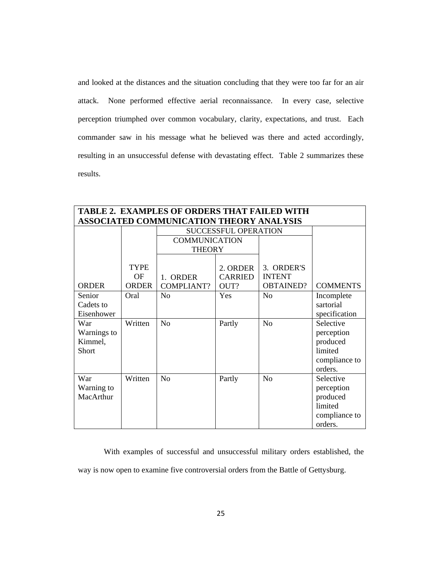and looked at the distances and the situation concluding that they were too far for an air attack. None performed effective aerial reconnaissance. In every case, selective perception triumphed over common vocabulary, clarity, expectations, and trust. Each commander saw in his message what he believed was there and acted accordingly, resulting in an unsuccessful defense with devastating effect. Table 2 summarizes these results.

| TABLE 2. EXAMPLES OF ORDERS THAT FAILED WITH |              |                             |                |                  |                 |
|----------------------------------------------|--------------|-----------------------------|----------------|------------------|-----------------|
| ASSOCIATED COMMUNICATION THEORY ANALYSIS     |              |                             |                |                  |                 |
|                                              |              | <b>SUCCESSFUL OPERATION</b> |                |                  |                 |
|                                              |              | <b>COMMUNICATION</b>        |                |                  |                 |
|                                              |              | <b>THEORY</b>               |                |                  |                 |
|                                              |              |                             |                |                  |                 |
|                                              | <b>TYPE</b>  |                             | 2. ORDER       | 3. ORDER'S       |                 |
|                                              | <b>OF</b>    | 1. ORDER                    | <b>CARRIED</b> | <b>INTENT</b>    |                 |
| <b>ORDER</b>                                 | <b>ORDER</b> | <b>COMPLIANT?</b>           | OUT?           | <b>OBTAINED?</b> | <b>COMMENTS</b> |
| Senior                                       | Oral         | N <sub>o</sub>              | Yes            | No               | Incomplete      |
| Cadets to                                    |              |                             |                |                  | sartorial       |
| Eisenhower                                   |              |                             |                |                  | specification   |
| War                                          | Written      | N <sub>o</sub>              | Partly         | N <sub>o</sub>   | Selective       |
| Warnings to                                  |              |                             |                |                  | perception      |
| Kimmel,                                      |              |                             |                |                  | produced        |
| Short                                        |              |                             |                |                  | limited         |
|                                              |              |                             |                |                  | compliance to   |
|                                              |              |                             |                |                  | orders.         |
| War                                          | Written      | N <sub>o</sub>              | Partly         | N <sub>o</sub>   | Selective       |
| Warning to                                   |              |                             |                |                  | perception      |
| MacArthur                                    |              |                             |                |                  | produced        |
|                                              |              |                             |                |                  | limited         |
|                                              |              |                             |                |                  | compliance to   |
|                                              |              |                             |                |                  | orders.         |

With examples of successful and unsuccessful military orders established, the way is now open to examine five controversial orders from the Battle of Gettysburg.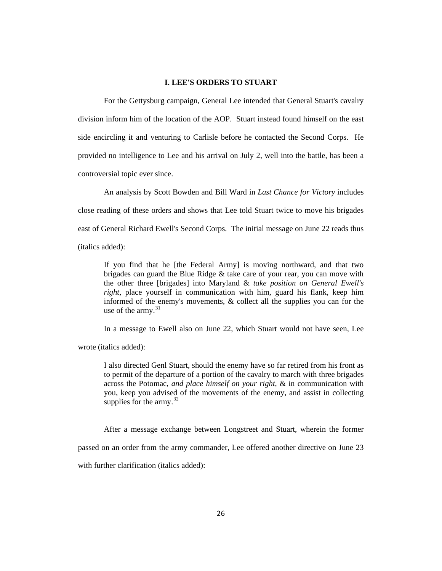## **I. LEE'S ORDERS TO STUART**

For the Gettysburg campaign, General Lee intended that General Stuart's cavalry division inform him of the location of the AOP. Stuart instead found himself on the east side encircling it and venturing to Carlisle before he contacted the Second Corps. He provided no intelligence to Lee and his arrival on July 2, well into the battle, has been a controversial topic ever since.

An analysis by Scott Bowden and Bill Ward in *Last Chance for Victory* includes close reading of these orders and shows that Lee told Stuart twice to move his brigades east of General Richard Ewell's Second Corps. The initial message on June 22 reads thus (italics added):

If you find that he [the Federal Army] is moving northward, and that two brigades can guard the Blue Ridge & take care of your rear, you can move with the other three [brigades] into Maryland & *take position on General Ewell's right*, place yourself in communication with him, guard his flank, keep him informed of the enemy's movements, & collect all the supplies you can for the use of the army. $31$ 

In a message to Ewell also on June 22, which Stuart would not have seen, Lee

wrote (italics added):

I also directed Genl Stuart, should the enemy have so far retired from his front as to permit of the departure of a portion of the cavalry to march with three brigades across the Potomac, *and place himself on your right*, & in communication with you, keep you advised of the movements of the enemy, and assist in collecting supplies for the army. $^{32}$  $^{32}$  $^{32}$ 

After a message exchange between Longstreet and Stuart, wherein the former

passed on an order from the army commander, Lee offered another directive on June 23

with further clarification (italics added):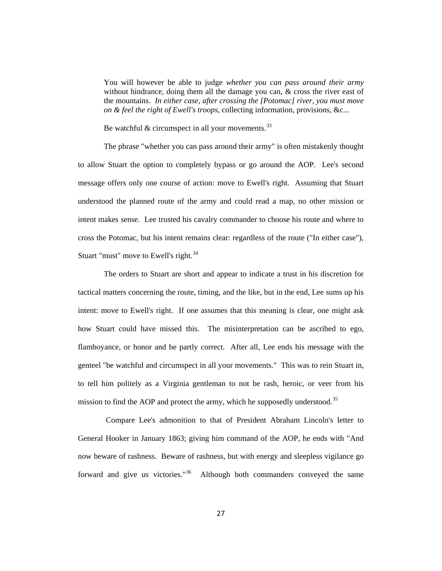You will however be able to judge *whether you can pass around their army* without hindrance, doing them all the damage you can, & cross the river east of the mountains. *In either case, after crossing the [Potomac] river, you must move on & feel the right of Ewell's troops*, collecting information, provisions, &c...

Be watchful  $&$  circumspect in all your movements.<sup>[33](#page-54-25)</sup>

The phrase "whether you can pass around their army" is often mistakenly thought to allow Stuart the option to completely bypass or go around the AOP. Lee's second message offers only one course of action: move to Ewell's right. Assuming that Stuart understood the planned route of the army and could read a map, no other mission or intent makes sense. Lee trusted his cavalry commander to choose his route and where to cross the Potomac, but his intent remains clear: regardless of the route ("In either case"), Stuart "must" move to Ewell's right.<sup>[34](#page-54-26)</sup>

The orders to Stuart are short and appear to indicate a trust in his discretion for tactical matters concerning the route, timing, and the like, but in the end, Lee sums up his intent: move to Ewell's right. If one assumes that this meaning is clear, one might ask how Stuart could have missed this. The misinterpretation can be ascribed to ego, flamboyance, or honor and be partly correct. After all, Lee ends his message with the genteel "be watchful and circumspect in all your movements." This was to rein Stuart in, to tell him politely as a Virginia gentleman to not be rash, heroic, or veer from his mission to find the AOP and protect the army, which he supposedly understood.<sup>[35](#page-54-27)</sup>

Compare Lee's admonition to that of President Abraham Lincoln's letter to General Hooker in January 1863; giving him command of the AOP, he ends with "And now beware of rashness. Beware of rashness, but with energy and sleepless vigilance go forward and give us victories."[36](#page-54-28) Although both commanders conveyed the same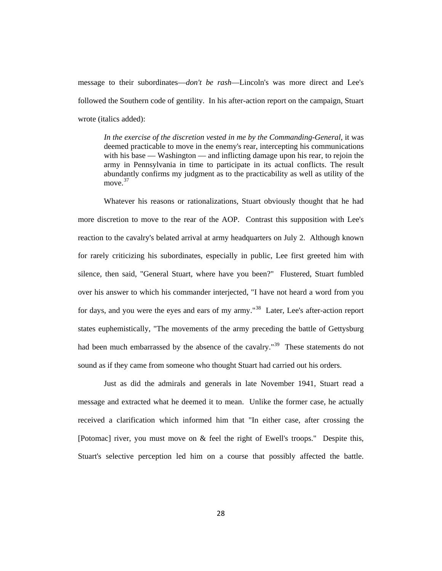message to their subordinates—*don't be rash*—Lincoln's was more direct and Lee's followed the Southern code of gentility. In his after-action report on the campaign, Stuart wrote (italics added):

*In the exercise of the discretion vested in me by the Commanding-General*, it was deemed practicable to move in the enemy's rear, intercepting his communications with his base — [Washington](http://www.perseus.tufts.edu/hopper/entityvote?doc=Perseus:text:2001.05.0120:chapter=9.72&auth=tgn,7013962&n=10&type=place) — and inflicting damage upon his rear, to rejoin the army in [Pennsylvania](http://www.perseus.tufts.edu/hopper/entityvote?doc=Perseus:text:2001.05.0120:chapter=9.72&auth=tgn,7007710&n=4&type=place) in time to participate in its actual conflicts. The result abundantly confirms my judgment as to the practicability as well as utility of the move.<sup>[37](#page-54-29)</sup>

Whatever his reasons or rationalizations, Stuart obviously thought that he had more discretion to move to the rear of the AOP. Contrast this supposition with Lee's reaction to the cavalry's belated arrival at army headquarters on July 2. Although known for rarely criticizing his subordinates, especially in public, Lee first greeted him with silence, then said, "General Stuart, where have you been?" Flustered, Stuart fumbled over his answer to which his commander interjected, "I have not heard a word from you for days, and you were the eyes and ears of my army."<sup>[38](#page-54-30)</sup> Later, Lee's after-action report states euphemistically, "The movements of the army preceding the battle of Gettysburg had been much embarrassed by the absence of the cavalry."<sup>[39](#page-54-31)</sup> These statements do not sound as if they came from someone who thought Stuart had carried out his orders.

Just as did the admirals and generals in late November 1941, Stuart read a message and extracted what he deemed it to mean. Unlike the former case, he actually received a clarification which informed him that "In either case, after crossing the [Potomac] river, you must move on & feel the right of Ewell's troops." Despite this, Stuart's selective perception led him on a course that possibly affected the battle.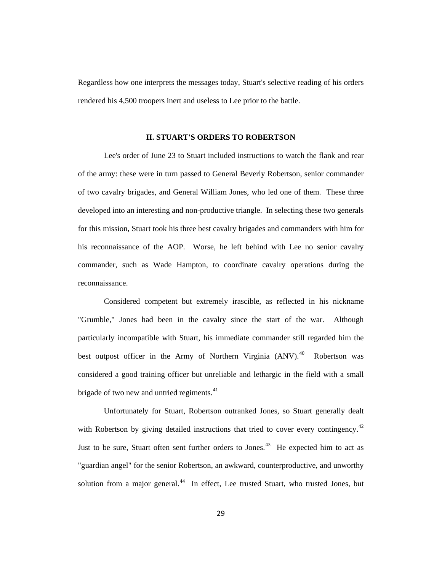Regardless how one interprets the messages today, Stuart's selective reading of his orders rendered his 4,500 troopers inert and useless to Lee prior to the battle.

#### **II. STUART'S ORDERS TO ROBERTSON**

Lee's order of June 23 to Stuart included instructions to watch the flank and rear of the army: these were in turn passed to General Beverly Robertson, senior commander of two cavalry brigades, and General William Jones, who led one of them. These three developed into an interesting and non-productive triangle. In selecting these two generals for this mission, Stuart took his three best cavalry brigades and commanders with him for his reconnaissance of the AOP. Worse, he left behind with Lee no senior cavalry commander, such as Wade Hampton, to coordinate cavalry operations during the reconnaissance.

Considered competent but extremely irascible, as reflected in his nickname "Grumble," Jones had been in the cavalry since the start of the war. Although particularly incompatible with Stuart, his immediate commander still regarded him the best outpost officer in the Army of Northern Virginia (ANV).<sup>40</sup> Robertson was considered a good training officer but unreliable and lethargic in the field with a small brigade of two new and untried regiments.<sup>[41](#page-54-33)</sup>

Unfortunately for Stuart, Robertson outranked Jones, so Stuart generally dealt with Robertson by giving detailed instructions that tried to cover every contingency.<sup>[42](#page-54-34)</sup> Just to be sure, Stuart often sent further orders to Jones.<sup>[43](#page-54-35)</sup> He expected him to act as "guardian angel" for the senior Robertson, an awkward, counterproductive, and unworthy solution from a major general.<sup>[44](#page-54-5)</sup> In effect, Lee trusted Stuart, who trusted Jones, but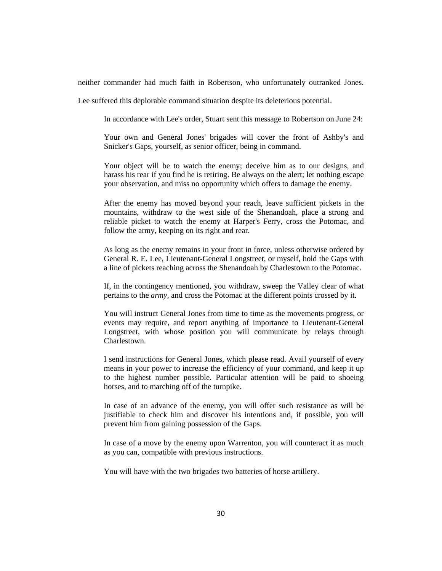neither commander had much faith in Robertson, who unfortunately outranked Jones.

Lee suffered this deplorable command situation despite its deleterious potential.

In accordance with Lee's order, Stuart sent this message to Robertson on June 24:

Your own and General Jones' brigades will cover the front of Ashby's and Snicker's Gaps, yourself, as senior officer, being in command.

Your object will be to watch the enemy; deceive him as to our designs, and harass his rear if you find he is retiring. Be always on the alert; let nothing escape your observation, and miss no opportunity which offers to damage the enemy.

After the enemy has moved beyond your reach, leave sufficient pickets in the mountains, withdraw to the west side of the Shenandoah, place a strong and reliable picket to watch the enemy at Harper's Ferry, cross the Potomac, and follow the army, keeping on its right and rear.

As long as the enemy remains in your front in force, unless otherwise ordered by General R. E. Lee, Lieutenant-General Longstreet, or myself, hold the Gaps with a line of pickets reaching across the Shenandoah by Charlestown to the Potomac.

If, in the contingency mentioned, you withdraw, sweep the Valley clear of what pertains to the *army,* and cross the Potomac at the different points crossed by it.

You will instruct General Jones from time to time as the movements progress, or events may require, and report anything of importance to Lieutenant-General Longstreet, with whose position you will communicate by relays through Charlestown.

I send instructions for General Jones, which please read. Avail yourself of every means in your power to increase the efficiency of your command, and keep it up to the highest number possible. Particular attention will be paid to shoeing horses, and to marching off of the turnpike.

In case of an advance of the enemy, you will offer such resistance as will be justifiable to check him and discover his intentions and, if possible, you will prevent him from gaining possession of the Gaps.

In case of a move by the enemy upon Warrenton, you will counteract it as much as you can, compatible with previous instructions.

You will have with the two brigades two batteries of horse artillery.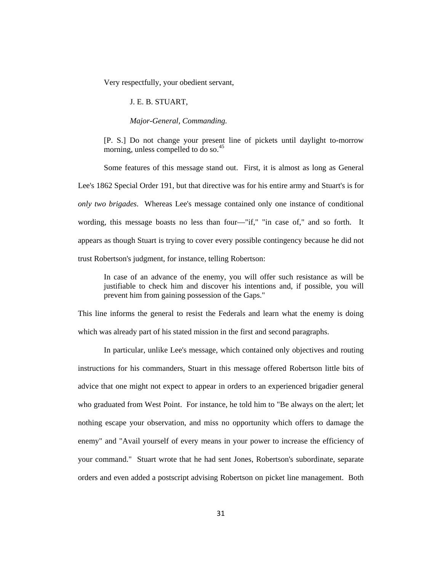Very respectfully, your obedient servant,

#### J. E. B. STUART,

## *Major-General, Commanding.*

[P. S.] Do not change your present line of pickets until daylight to-morrow morning, unless compelled to do so.<sup>[45](#page-54-6)</sup>

Some features of this message stand out. First, it is almost as long as General Lee's 1862 Special Order 191, but that directive was for his entire army and Stuart's is for *only two brigades*. Whereas Lee's message contained only one instance of conditional wording, this message boasts no less than four—"if," "in case of," and so forth. It appears as though Stuart is trying to cover every possible contingency because he did not trust Robertson's judgment, for instance, telling Robertson:

In case of an advance of the enemy, you will offer such resistance as will be justifiable to check him and discover his intentions and, if possible, you will prevent him from gaining possession of the Gaps."

This line informs the general to resist the Federals and learn what the enemy is doing which was already part of his stated mission in the first and second paragraphs.

In particular, unlike Lee's message, which contained only objectives and routing instructions for his commanders, Stuart in this message offered Robertson little bits of advice that one might not expect to appear in orders to an experienced brigadier general who graduated from West Point. For instance, he told him to "Be always on the alert; let nothing escape your observation, and miss no opportunity which offers to damage the enemy" and "Avail yourself of every means in your power to increase the efficiency of your command." Stuart wrote that he had sent Jones, Robertson's subordinate, separate orders and even added a postscript advising Robertson on picket line management. Both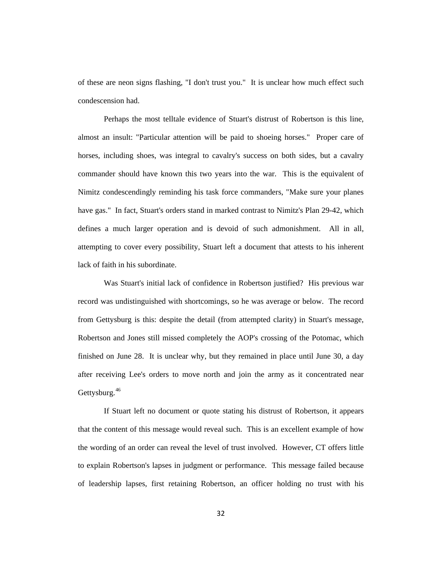of these are neon signs flashing, "I don't trust you." It is unclear how much effect such condescension had.

Perhaps the most telltale evidence of Stuart's distrust of Robertson is this line, almost an insult: "Particular attention will be paid to shoeing horses." Proper care of horses, including shoes, was integral to cavalry's success on both sides, but a cavalry commander should have known this two years into the war. This is the equivalent of Nimitz condescendingly reminding his task force commanders, "Make sure your planes have gas." In fact, Stuart's orders stand in marked contrast to Nimitz's Plan 29-42, which defines a much larger operation and is devoid of such admonishment. All in all, attempting to cover every possibility, Stuart left a document that attests to his inherent lack of faith in his subordinate.

Was Stuart's initial lack of confidence in Robertson justified? His previous war record was undistinguished with shortcomings, so he was average or below. The record from Gettysburg is this: despite the detail (from attempted clarity) in Stuart's message, Robertson and Jones still missed completely the AOP's crossing of the Potomac, which finished on June 28. It is unclear why, but they remained in place until June 30, a day after receiving Lee's orders to move north and join the army as it concentrated near Gettysburg.<sup>[46](#page-54-36)</sup>

If Stuart left no document or quote stating his distrust of Robertson, it appears that the content of this message would reveal such. This is an excellent example of how the wording of an order can reveal the level of trust involved. However, CT offers little to explain Robertson's lapses in judgment or performance. This message failed because of leadership lapses, first retaining Robertson, an officer holding no trust with his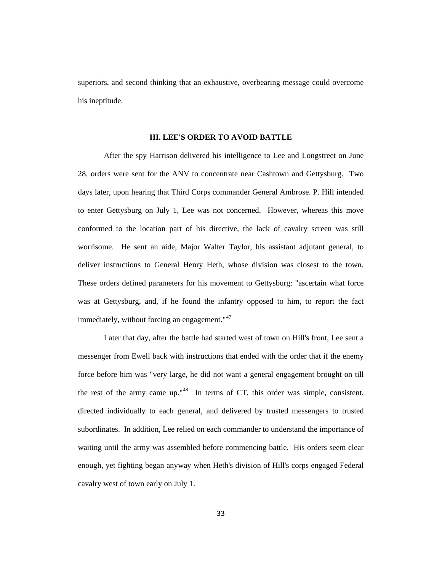superiors, and second thinking that an exhaustive, overbearing message could overcome his ineptitude.

#### **III. LEE'S ORDER TO AVOID BATTLE**

After the spy Harrison delivered his intelligence to Lee and Longstreet on June 28, orders were sent for the ANV to concentrate near Cashtown and Gettysburg. Two days later, upon hearing that Third Corps commander General Ambrose. P. Hill intended to enter Gettysburg on July 1, Lee was not concerned. However, whereas this move conformed to the location part of his directive, the lack of cavalry screen was still worrisome. He sent an aide, Major Walter Taylor, his assistant adjutant general, to deliver instructions to General Henry Heth, whose division was closest to the town. These orders defined parameters for his movement to Gettysburg: "ascertain what force was at Gettysburg, and, if he found the infantry opposed to him, to report the fact immediately, without forcing an engagement."<sup>[47](#page-54-37)</sup>

Later that day, after the battle had started west of town on Hill's front, Lee sent a messenger from Ewell back with instructions that ended with the order that if the enemy force before him was "very large, he did not want a general engagement brought on till the rest of the army came up."[48](#page-54-38) In terms of CT, this order was simple, consistent, directed individually to each general, and delivered by trusted messengers to trusted subordinates. In addition, Lee relied on each commander to understand the importance of waiting until the army was assembled before commencing battle. His orders seem clear enough, yet fighting began anyway when Heth's division of Hill's corps engaged Federal cavalry west of town early on July 1.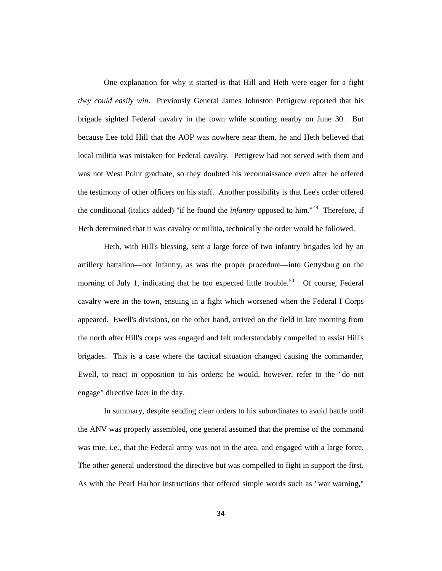One explanation for why it started is that Hill and Heth were eager for a fight *they could easily win*. Previously General James Johnston Pettigrew reported that his brigade sighted Federal cavalry in the town while scouting nearby on June 30. But because Lee told Hill that the AOP was nowhere near them, he and Heth believed that local militia was mistaken for Federal cavalry. Pettigrew had not served with them and was not West Point graduate, so they doubted his reconnaissance even after he offered the testimony of other officers on his staff. Another possibility is that Lee's order offered the conditional (italics added) "if he found the *infantry* opposed to him."[49](#page-54-39) Therefore, if Heth determined that it was cavalry or militia, technically the order would be followed.

Heth, with Hill's blessing, sent a large force of two infantry brigades led by an artillery battalion—not infantry, as was the proper procedure—into Gettysburg on the morning of July 1, indicating that he too expected little trouble.<sup>[50](#page-54-40)</sup> Of course, Federal cavalry were in the town, ensuing in a fight which worsened when the Federal I Corps appeared. Ewell's divisions, on the other hand, arrived on the field in late morning from the north after Hill's corps was engaged and felt understandably compelled to assist Hill's brigades. This is a case where the tactical situation changed causing the commander, Ewell, to react in opposition to his orders; he would, however, refer to the "do not engage" directive later in the day.

In summary, despite sending clear orders to his subordinates to avoid battle until the ANV was properly assembled, one general assumed that the premise of the command was true, i.e., that the Federal army was not in the area, and engaged with a large force. The other general understood the directive but was compelled to fight in support the first. As with the Pearl Harbor instructions that offered simple words such as "war warning,"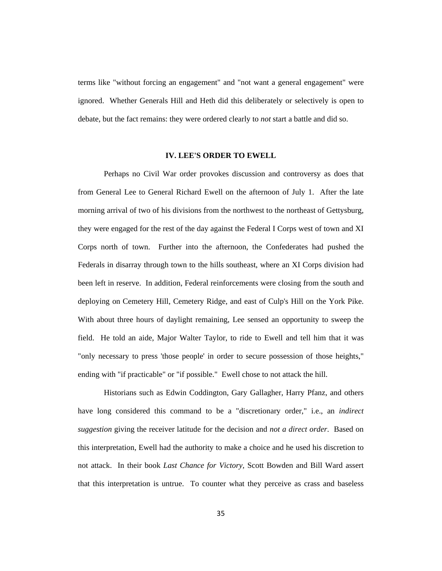terms like "without forcing an engagement" and "not want a general engagement" were ignored. Whether Generals Hill and Heth did this deliberately or selectively is open to debate, but the fact remains: they were ordered clearly to *not* start a battle and did so.

## **IV. LEE'S ORDER TO EWELL**

Perhaps no Civil War order provokes discussion and controversy as does that from General Lee to General Richard Ewell on the afternoon of July 1. After the late morning arrival of two of his divisions from the northwest to the northeast of Gettysburg, they were engaged for the rest of the day against the Federal I Corps west of town and XI Corps north of town. Further into the afternoon, the Confederates had pushed the Federals in disarray through town to the hills southeast, where an XI Corps division had been left in reserve. In addition, Federal reinforcements were closing from the south and deploying on Cemetery Hill, Cemetery Ridge, and east of Culp's Hill on the York Pike. With about three hours of daylight remaining, Lee sensed an opportunity to sweep the field. He told an aide, Major Walter Taylor, to ride to Ewell and tell him that it was "only necessary to press 'those people' in order to secure possession of those heights," ending with "if practicable" or "if possible." Ewell chose to not attack the hill.

Historians such as Edwin Coddington, Gary Gallagher, Harry Pfanz, and others have long considered this command to be a "discretionary order," i.e., an *indirect suggestion* giving the receiver latitude for the decision and *not a direct order*. Based on this interpretation, Ewell had the authority to make a choice and he used his discretion to not attack. In their book *Last Chance for Victory,* Scott Bowden and Bill Ward assert that this interpretation is untrue. To counter what they perceive as crass and baseless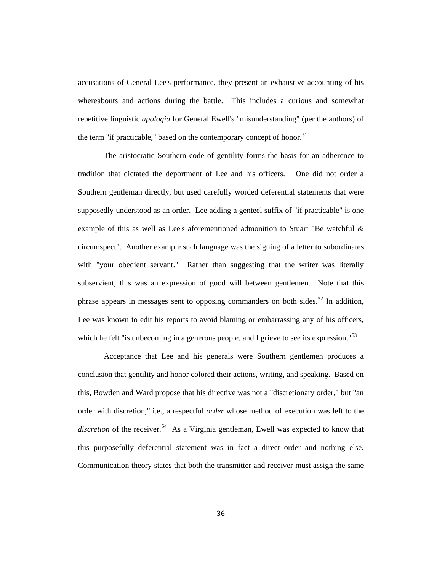accusations of General Lee's performance, they present an exhaustive accounting of his whereabouts and actions during the battle. This includes a curious and somewhat repetitive linguistic *apologia* for General Ewell's "misunderstanding" (per the authors) of the term "if practicable," based on the contemporary concept of honor.<sup>[51](#page-54-41)</sup>

The aristocratic Southern code of gentility forms the basis for an adherence to tradition that dictated the deportment of Lee and his officers. One did not order a Southern gentleman directly, but used carefully worded deferential statements that were supposedly understood as an order. Lee adding a genteel suffix of "if practicable" is one example of this as well as Lee's aforementioned admonition to Stuart "Be watchful & circumspect". Another example such language was the signing of a letter to subordinates with "your obedient servant." Rather than suggesting that the writer was literally subservient, this was an expression of good will between gentlemen. Note that this phrase appears in messages sent to opposing commanders on both sides.<sup>[52](#page-54-42)</sup> In addition, Lee was known to edit his reports to avoid blaming or embarrassing any of his officers, which he felt "is unbecoming in a generous people, and I grieve to see its expression."<sup>[53](#page-54-43)</sup>

Acceptance that Lee and his generals were Southern gentlemen produces a conclusion that gentility and honor colored their actions, writing, and speaking. Based on this, Bowden and Ward propose that his directive was not a "discretionary order," but "an order with discretion," i.e., a respectful *order* whose method of execution was left to the discretion of the receiver.<sup>[54](#page-54-44)</sup> As a Virginia gentleman, Ewell was expected to know that this purposefully deferential statement was in fact a direct order and nothing else. Communication theory states that both the transmitter and receiver must assign the same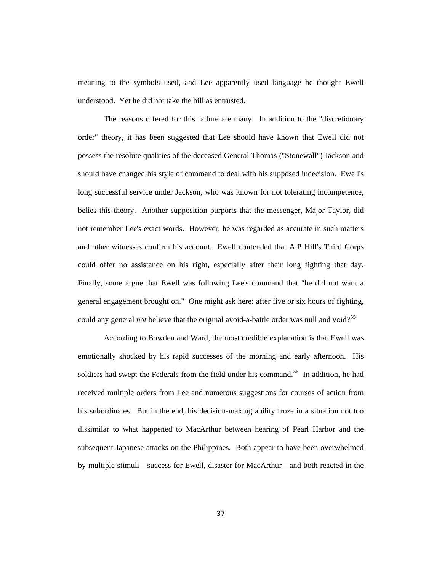meaning to the symbols used, and Lee apparently used language he thought Ewell understood. Yet he did not take the hill as entrusted.

The reasons offered for this failure are many. In addition to the "discretionary order" theory, it has been suggested that Lee should have known that Ewell did not possess the resolute qualities of the deceased General Thomas ("Stonewall") Jackson and should have changed his style of command to deal with his supposed indecision. Ewell's long successful service under Jackson, who was known for not tolerating incompetence, belies this theory. Another supposition purports that the messenger, Major Taylor, did not remember Lee's exact words. However, he was regarded as accurate in such matters and other witnesses confirm his account. Ewell contended that A.P Hill's Third Corps could offer no assistance on his right, especially after their long fighting that day. Finally, some argue that Ewell was following Lee's command that "he did not want a general engagement brought on." One might ask here: after five or six hours of fighting, could any general *not* believe that the original avoid-a-battle order was null and void?<sup>[55](#page-54-45)</sup>

According to Bowden and Ward, the most credible explanation is that Ewell was emotionally shocked by his rapid successes of the morning and early afternoon. His soldiers had swept the Federals from the field under his command.<sup>56</sup> In addition, he had received multiple orders from Lee and numerous suggestions for courses of action from his subordinates. But in the end, his decision-making ability froze in a situation not too dissimilar to what happened to MacArthur between hearing of Pearl Harbor and the subsequent Japanese attacks on the Philippines. Both appear to have been overwhelmed by multiple stimuli—success for Ewell, disaster for MacArthur—and both reacted in the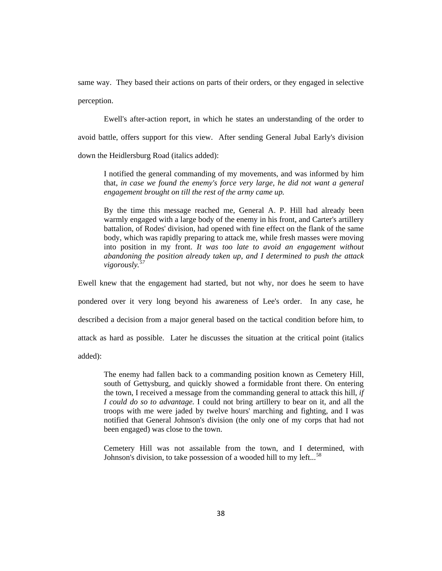same way. They based their actions on parts of their orders, or they engaged in selective perception.

Ewell's after-action report, in which he states an understanding of the order to avoid battle, offers support for this view. After sending General Jubal Early's division down the Heidlersburg Road (italics added):

I notified the general commanding of my movements, and was informed by him that, *in case we found the enemy's force very large, he did not want a general engagement brought on till the rest of the army came up.*

By the time this message reached me, General A. P. Hill had already been warmly engaged with a large body of the enemy in his front, and Carter's artillery battalion, of Rodes' division, had opened with fine effect on the flank of the same body, which was rapidly preparing to attack me, while fresh masses were moving into position in my front. *It was too late to avoid an engagement without abandoning the position already taken up, and I determined to push the attack vigorously.[57](#page-54-47)*

Ewell knew that the engagement had started, but not why, nor does he seem to have pondered over it very long beyond his awareness of Lee's order. In any case, he described a decision from a major general based on the tactical condition before him, to attack as hard as possible. Later he discusses the situation at the critical point (italics added):

The enemy had fallen back to a commanding position known as Cemetery Hill, south of Gettysburg, and quickly showed a formidable front there. On entering the town, I received a message from the commanding general to attack this hill*, if I could do so to advantage.* I could not bring artillery to bear on it, and all the troops with me were jaded by twelve hours' marching and fighting, and I was notified that General Johnson's division (the only one of my corps that had not been engaged) was close to the town.

Cemetery Hill was not assailable from the town, and I determined, with Johnson's division, to take possession of a wooded hill to my left...<sup>[58](#page-54-48)</sup>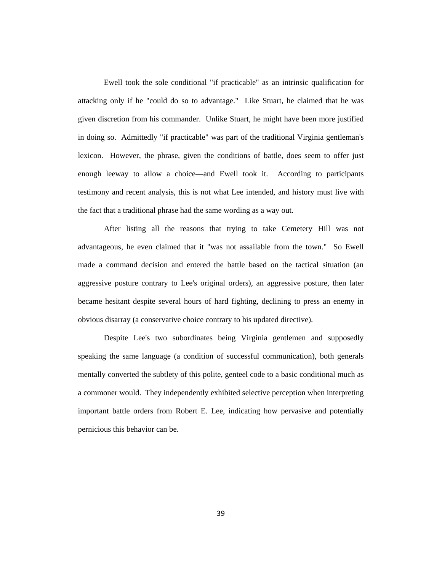Ewell took the sole conditional "if practicable" as an intrinsic qualification for attacking only if he "could do so to advantage." Like Stuart, he claimed that he was given discretion from his commander. Unlike Stuart, he might have been more justified in doing so. Admittedly "if practicable" was part of the traditional Virginia gentleman's lexicon. However, the phrase, given the conditions of battle, does seem to offer just enough leeway to allow a choice—and Ewell took it. According to participants testimony and recent analysis, this is not what Lee intended, and history must live with the fact that a traditional phrase had the same wording as a way out.

After listing all the reasons that trying to take Cemetery Hill was not advantageous, he even claimed that it "was not assailable from the town." So Ewell made a command decision and entered the battle based on the tactical situation (an aggressive posture contrary to Lee's original orders), an aggressive posture, then later became hesitant despite several hours of hard fighting, declining to press an enemy in obvious disarray (a conservative choice contrary to his updated directive).

Despite Lee's two subordinates being Virginia gentlemen and supposedly speaking the same language (a condition of successful communication), both generals mentally converted the subtlety of this polite, genteel code to a basic conditional much as a commoner would. They independently exhibited selective perception when interpreting important battle orders from Robert E. Lee, indicating how pervasive and potentially pernicious this behavior can be.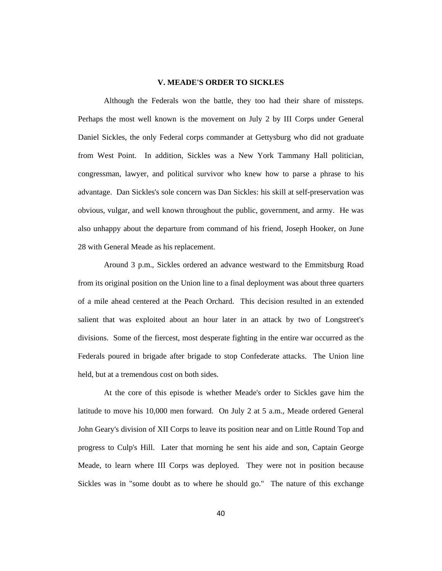## **V. MEADE'S ORDER TO SICKLES**

Although the Federals won the battle, they too had their share of missteps. Perhaps the most well known is the movement on July 2 by III Corps under General Daniel Sickles, the only Federal corps commander at Gettysburg who did not graduate from West Point. In addition, Sickles was a New York Tammany Hall politician, congressman, lawyer, and political survivor who knew how to parse a phrase to his advantage. Dan Sickles's sole concern was Dan Sickles: his skill at self-preservation was obvious, vulgar, and well known throughout the public, government, and army. He was also unhappy about the departure from command of his friend, Joseph Hooker, on June 28 with General Meade as his replacement.

Around 3 p.m., Sickles ordered an advance westward to the Emmitsburg Road from its original position on the Union line to a final deployment was about three quarters of a mile ahead centered at the Peach Orchard. This decision resulted in an extended salient that was exploited about an hour later in an attack by two of Longstreet's divisions. Some of the fiercest, most desperate fighting in the entire war occurred as the Federals poured in brigade after brigade to stop Confederate attacks. The Union line held, but at a tremendous cost on both sides.

At the core of this episode is whether Meade's order to Sickles gave him the latitude to move his 10,000 men forward. On July 2 at 5 a.m., Meade ordered General John Geary's division of XII Corps to leave its position near and on Little Round Top and progress to Culp's Hill. Later that morning he sent his aide and son, Captain George Meade, to learn where III Corps was deployed. They were not in position because Sickles was in "some doubt as to where he should go." The nature of this exchange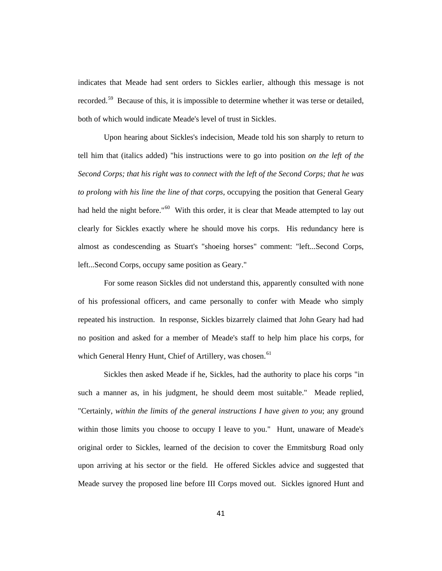indicates that Meade had sent orders to Sickles earlier, although this message is not recorded.<sup>59</sup> Because of this, it is impossible to determine whether it was terse or detailed, both of which would indicate Meade's level of trust in Sickles.

Upon hearing about Sickles's indecision, Meade told his son sharply to return to tell him that (italics added) "his instructions were to go into position *on the left of the Second Corps; that his right was to connect with the left of the Second Corps; that he was to prolong with his line the line of that corps,* occupying the position that General Geary had held the night before."<sup>[60](#page-54-50)</sup> With this order, it is clear that Meade attempted to lay out clearly for Sickles exactly where he should move his corps. His redundancy here is almost as condescending as Stuart's "shoeing horses" comment: "left...Second Corps, left...Second Corps, occupy same position as Geary."

For some reason Sickles did not understand this, apparently consulted with none of his professional officers, and came personally to confer with Meade who simply repeated his instruction. In response, Sickles bizarrely claimed that John Geary had had no position and asked for a member of Meade's staff to help him place his corps, for which General Henry Hunt, Chief of Artillery, was chosen.<sup>[61](#page-54-51)</sup>

Sickles then asked Meade if he, Sickles, had the authority to place his corps "in such a manner as, in his judgment, he should deem most suitable." Meade replied, "Certainly, *within the limits of the general instructions I have given to you*; any ground within those limits you choose to occupy I leave to you." Hunt, unaware of Meade's original order to Sickles, learned of the decision to cover the Emmitsburg Road only upon arriving at his sector or the field. He offered Sickles advice and suggested that Meade survey the proposed line before III Corps moved out. Sickles ignored Hunt and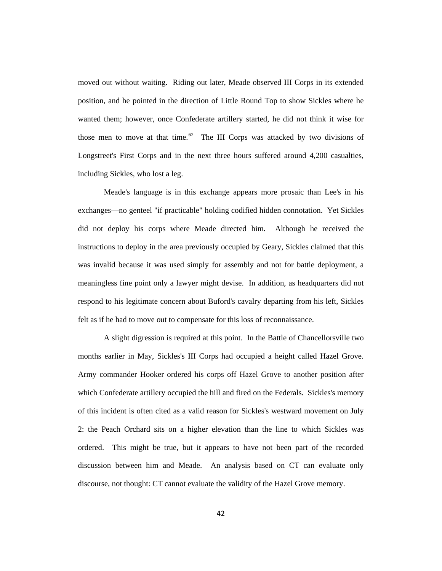moved out without waiting. Riding out later, Meade observed III Corps in its extended position, and he pointed in the direction of Little Round Top to show Sickles where he wanted them; however, once Confederate artillery started, he did not think it wise for those men to move at that time.<sup>[62](#page-54-52)</sup> The III Corps was attacked by two divisions of Longstreet's First Corps and in the next three hours suffered around 4,200 casualties, including Sickles, who lost a leg.

Meade's language is in this exchange appears more prosaic than Lee's in his exchanges—no genteel "if practicable" holding codified hidden connotation. Yet Sickles did not deploy his corps where Meade directed him. Although he received the instructions to deploy in the area previously occupied by Geary, Sickles claimed that this was invalid because it was used simply for assembly and not for battle deployment, a meaningless fine point only a lawyer might devise. In addition, as headquarters did not respond to his legitimate concern about Buford's cavalry departing from his left, Sickles felt as if he had to move out to compensate for this loss of reconnaissance.

A slight digression is required at this point. In the Battle of Chancellorsville two months earlier in May, Sickles's III Corps had occupied a height called Hazel Grove. Army commander Hooker ordered his corps off Hazel Grove to another position after which Confederate artillery occupied the hill and fired on the Federals. Sickles's memory of this incident is often cited as a valid reason for Sickles's westward movement on July 2: the Peach Orchard sits on a higher elevation than the line to which Sickles was ordered. This might be true, but it appears to have not been part of the recorded discussion between him and Meade. An analysis based on CT can evaluate only discourse, not thought: CT cannot evaluate the validity of the Hazel Grove memory.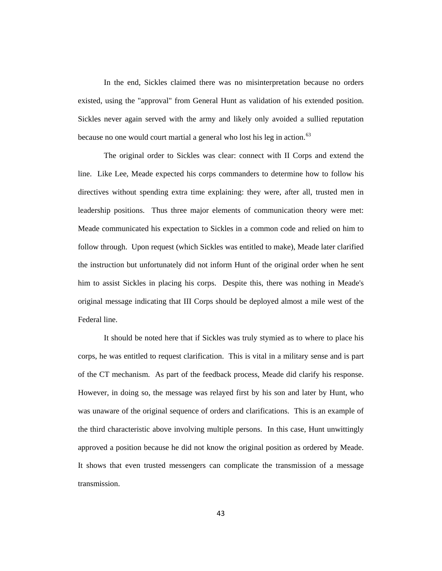In the end, Sickles claimed there was no misinterpretation because no orders existed, using the "approval" from General Hunt as validation of his extended position. Sickles never again served with the army and likely only avoided a sullied reputation because no one would court martial a general who lost his leg in action.<sup>[63](#page-54-53)</sup>

The original order to Sickles was clear: connect with II Corps and extend the line. Like Lee, Meade expected his corps commanders to determine how to follow his directives without spending extra time explaining: they were, after all, trusted men in leadership positions. Thus three major elements of communication theory were met: Meade communicated his expectation to Sickles in a common code and relied on him to follow through. Upon request (which Sickles was entitled to make), Meade later clarified the instruction but unfortunately did not inform Hunt of the original order when he sent him to assist Sickles in placing his corps. Despite this, there was nothing in Meade's original message indicating that III Corps should be deployed almost a mile west of the Federal line.

It should be noted here that if Sickles was truly stymied as to where to place his corps, he was entitled to request clarification. This is vital in a military sense and is part of the CT mechanism. As part of the feedback process, Meade did clarify his response. However, in doing so, the message was relayed first by his son and later by Hunt, who was unaware of the original sequence of orders and clarifications. This is an example of the third characteristic above involving multiple persons. In this case, Hunt unwittingly approved a position because he did not know the original position as ordered by Meade. It shows that even trusted messengers can complicate the transmission of a message transmission.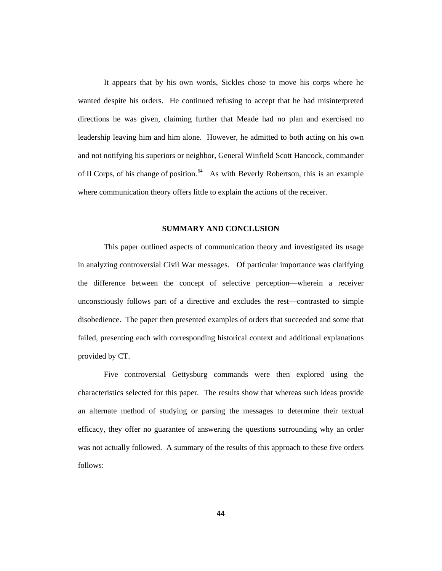It appears that by his own words, Sickles chose to move his corps where he wanted despite his orders. He continued refusing to accept that he had misinterpreted directions he was given, claiming further that Meade had no plan and exercised no leadership leaving him and him alone. However, he admitted to both acting on his own and not notifying his superiors or neighbor, General Winfield Scott Hancock, commander of II Corps, of his change of position.<sup>[64](#page-54-5)</sup> As with Beverly Robertson, this is an example where communication theory offers little to explain the actions of the receiver.

## **SUMMARY AND CONCLUSION**

This paper outlined aspects of communication theory and investigated its usage in analyzing controversial Civil War messages. Of particular importance was clarifying the difference between the concept of selective perception—wherein a receiver unconsciously follows part of a directive and excludes the rest—contrasted to simple disobedience. The paper then presented examples of orders that succeeded and some that failed, presenting each with corresponding historical context and additional explanations provided by CT.

Five controversial Gettysburg commands were then explored using the characteristics selected for this paper. The results show that whereas such ideas provide an alternate method of studying or parsing the messages to determine their textual efficacy, they offer no guarantee of answering the questions surrounding why an order was not actually followed. A summary of the results of this approach to these five orders follows: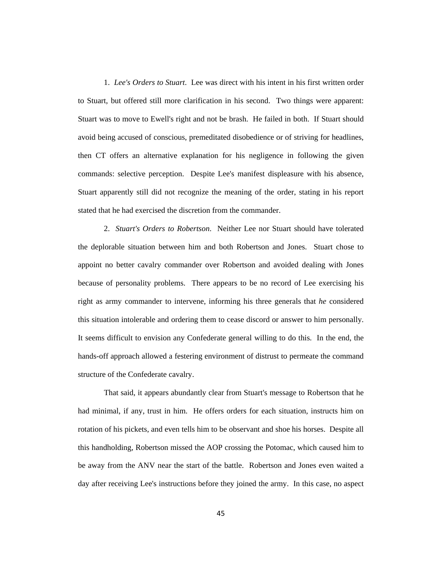1. *Lee's Orders to Stuart*. Lee was direct with his intent in his first written order to Stuart, but offered still more clarification in his second. Two things were apparent: Stuart was to move to Ewell's right and not be brash. He failed in both. If Stuart should avoid being accused of conscious, premeditated disobedience or of striving for headlines, then CT offers an alternative explanation for his negligence in following the given commands: selective perception. Despite Lee's manifest displeasure with his absence, Stuart apparently still did not recognize the meaning of the order, stating in his report stated that he had exercised the discretion from the commander.

2. *Stuart's Orders to Robertson*. Neither Lee nor Stuart should have tolerated the deplorable situation between him and both Robertson and Jones. Stuart chose to appoint no better cavalry commander over Robertson and avoided dealing with Jones because of personality problems. There appears to be no record of Lee exercising his right as army commander to intervene, informing his three generals that *he* considered this situation intolerable and ordering them to cease discord or answer to him personally. It seems difficult to envision any Confederate general willing to do this. In the end, the hands-off approach allowed a festering environment of distrust to permeate the command structure of the Confederate cavalry.

That said, it appears abundantly clear from Stuart's message to Robertson that he had minimal, if any, trust in him. He offers orders for each situation, instructs him on rotation of his pickets, and even tells him to be observant and shoe his horses. Despite all this handholding, Robertson missed the AOP crossing the Potomac, which caused him to be away from the ANV near the start of the battle. Robertson and Jones even waited a day after receiving Lee's instructions before they joined the army. In this case, no aspect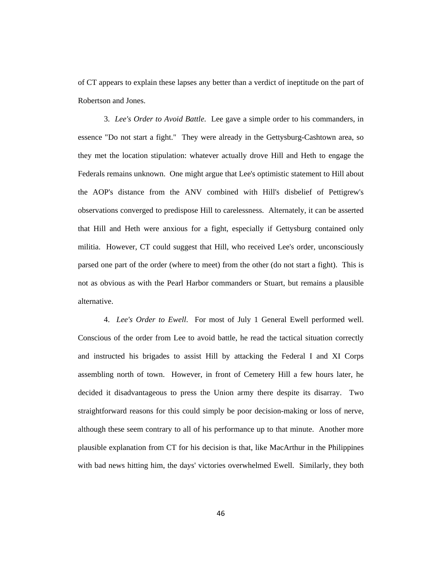of CT appears to explain these lapses any better than a verdict of ineptitude on the part of Robertson and Jones.

3. *Lee's Order to Avoid Battle*. Lee gave a simple order to his commanders, in essence "Do not start a fight." They were already in the Gettysburg-Cashtown area, so they met the location stipulation: whatever actually drove Hill and Heth to engage the Federals remains unknown. One might argue that Lee's optimistic statement to Hill about the AOP's distance from the ANV combined with Hill's disbelief of Pettigrew's observations converged to predispose Hill to carelessness. Alternately, it can be asserted that Hill and Heth were anxious for a fight, especially if Gettysburg contained only militia. However, CT could suggest that Hill, who received Lee's order, unconsciously parsed one part of the order (where to meet) from the other (do not start a fight). This is not as obvious as with the Pearl Harbor commanders or Stuart, but remains a plausible alternative.

4. *Lee's Order to Ewell*. For most of July 1 General Ewell performed well. Conscious of the order from Lee to avoid battle, he read the tactical situation correctly and instructed his brigades to assist Hill by attacking the Federal I and XI Corps assembling north of town. However, in front of Cemetery Hill a few hours later, he decided it disadvantageous to press the Union army there despite its disarray. Two straightforward reasons for this could simply be poor decision-making or loss of nerve, although these seem contrary to all of his performance up to that minute. Another more plausible explanation from CT for his decision is that, like MacArthur in the Philippines with bad news hitting him, the days' victories overwhelmed Ewell. Similarly, they both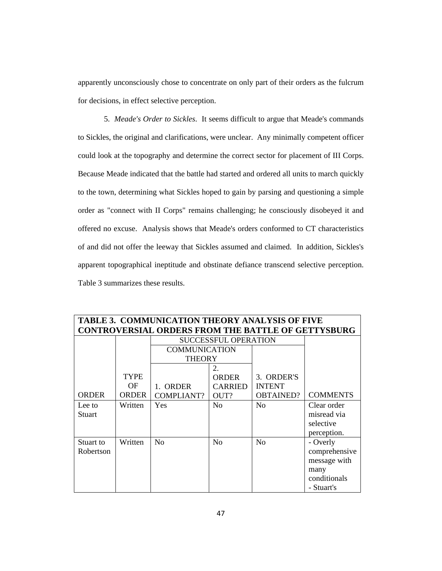apparently unconsciously chose to concentrate on only part of their orders as the fulcrum for decisions, in effect selective perception.

5. *Meade's Order to Sickles*. It seems difficult to argue that Meade's commands to Sickles, the original and clarifications, were unclear. Any minimally competent officer could look at the topography and determine the correct sector for placement of III Corps. Because Meade indicated that the battle had started and ordered all units to march quickly to the town, determining what Sickles hoped to gain by parsing and questioning a simple order as "connect with II Corps" remains challenging; he consciously disobeyed it and offered no excuse. Analysis shows that Meade's orders conformed to CT characteristics of and did not offer the leeway that Sickles assumed and claimed. In addition, Sickles's apparent topographical ineptitude and obstinate defiance transcend selective perception. Table 3 summarizes these results.

| TABLE 3.  COMMUNICATION THEORY ANALYSIS OF FIVE           |              |                      |                             |                  |                 |  |
|-----------------------------------------------------------|--------------|----------------------|-----------------------------|------------------|-----------------|--|
| <b>CONTROVERSIAL ORDERS FROM THE BATTLE OF GETTYSBURG</b> |              |                      |                             |                  |                 |  |
|                                                           |              |                      | <b>SUCCESSFUL OPERATION</b> |                  |                 |  |
|                                                           |              | <b>COMMUNICATION</b> |                             |                  |                 |  |
|                                                           |              | <b>THEORY</b>        |                             |                  |                 |  |
|                                                           |              |                      | 2.                          |                  |                 |  |
|                                                           | <b>TYPE</b>  |                      | <b>ORDER</b>                | 3. ORDER'S       |                 |  |
|                                                           | OF.          | 1. ORDER             | <b>CARRIED</b>              | <b>INTENT</b>    |                 |  |
| <b>ORDER</b>                                              | <b>ORDER</b> | <b>COMPLIANT?</b>    | OUT?                        | <b>OBTAINED?</b> | <b>COMMENTS</b> |  |
| Lee to                                                    | Written      | Yes                  | No                          | N <sub>o</sub>   | Clear order     |  |
| Stuart                                                    |              |                      |                             |                  | misread via     |  |
|                                                           |              |                      |                             |                  | selective       |  |
|                                                           |              |                      |                             |                  | perception.     |  |
| Stuart to                                                 | Written      | N <sub>o</sub>       | No                          | N <sub>o</sub>   | - Overly        |  |
| Robertson                                                 |              |                      |                             |                  | comprehensive   |  |
|                                                           |              |                      |                             |                  | message with    |  |
|                                                           |              |                      |                             |                  | many            |  |
|                                                           |              |                      |                             |                  | conditionals    |  |
|                                                           |              |                      |                             |                  | - Stuart's      |  |

**TABLE 3. COMMUNICATION THEORY ANALYSIS OF FIVE**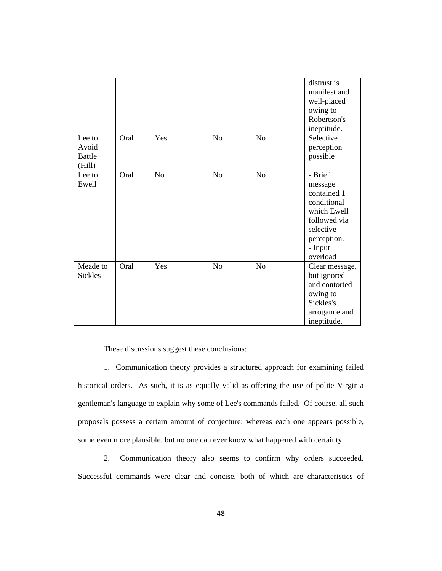|                                            |      |                |                |                | distrust is<br>manifest and<br>well-placed<br>owing to<br>Robertson's<br>ineptitude.                                               |
|--------------------------------------------|------|----------------|----------------|----------------|------------------------------------------------------------------------------------------------------------------------------------|
| Lee to<br>Avoid<br><b>Battle</b><br>(Hill) | Oral | Yes            | N <sub>o</sub> | N <sub>o</sub> | Selective<br>perception<br>possible                                                                                                |
| Lee to<br>Ewell                            | Oral | N <sub>o</sub> | No             | No             | - Brief<br>message<br>contained 1<br>conditional<br>which Ewell<br>followed via<br>selective<br>perception.<br>- Input<br>overload |
| Meade to<br><b>Sickles</b>                 | Oral | Yes            | N <sub>o</sub> | N <sub>o</sub> | Clear message,<br>but ignored<br>and contorted<br>owing to<br>Sickles's<br>arrogance and<br>ineptitude.                            |

These discussions suggest these conclusions:

1. Communication theory provides a structured approach for examining failed historical orders. As such, it is as equally valid as offering the use of polite Virginia gentleman's language to explain why some of Lee's commands failed. Of course, all such proposals possess a certain amount of conjecture: whereas each one appears possible, some even more plausible, but no one can ever know what happened with certainty.

2. Communication theory also seems to confirm why orders succeeded. Successful commands were clear and concise, both of which are characteristics of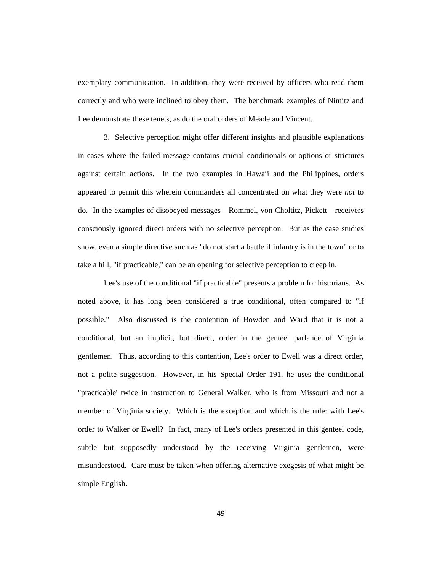exemplary communication. In addition, they were received by officers who read them correctly and who were inclined to obey them. The benchmark examples of Nimitz and Lee demonstrate these tenets, as do the oral orders of Meade and Vincent.

3. Selective perception might offer different insights and plausible explanations in cases where the failed message contains crucial conditionals or options or strictures against certain actions. In the two examples in Hawaii and the Philippines, orders appeared to permit this wherein commanders all concentrated on what they were *not* to do. In the examples of disobeyed messages—Rommel, von Choltitz, Pickett—receivers consciously ignored direct orders with no selective perception. But as the case studies show, even a simple directive such as "do not start a battle if infantry is in the town" or to take a hill, "if practicable," can be an opening for selective perception to creep in.

Lee's use of the conditional "if practicable" presents a problem for historians. As noted above, it has long been considered a true conditional, often compared to "if possible." Also discussed is the contention of Bowden and Ward that it is not a conditional, but an implicit, but direct, order in the genteel parlance of Virginia gentlemen. Thus, according to this contention, Lee's order to Ewell was a direct order, not a polite suggestion. However, in his Special Order 191, he uses the conditional "practicable' twice in instruction to General Walker, who is from Missouri and not a member of Virginia society. Which is the exception and which is the rule: with Lee's order to Walker or Ewell? In fact, many of Lee's orders presented in this genteel code, subtle but supposedly understood by the receiving Virginia gentlemen, were misunderstood. Care must be taken when offering alternative exegesis of what might be simple English.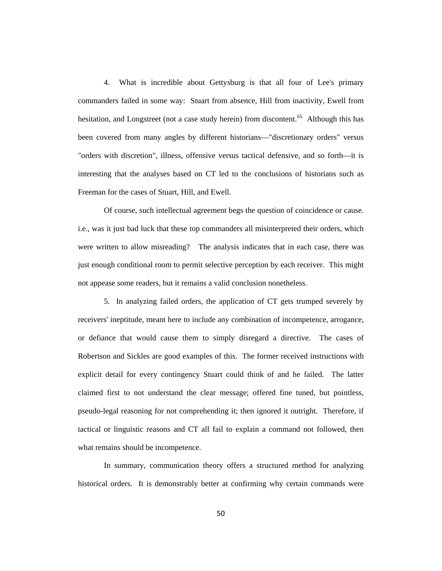4. What is incredible about Gettysburg is that all four of Lee's primary commanders failed in some way: Stuart from absence, Hill from inactivity, Ewell from hesitation, and Longstreet (not a case study herein) from discontent.<sup>[65](#page-54-6)</sup> Although this has been covered from many angles by different historians—"discretionary orders" versus "orders with discretion", illness, offensive versus tactical defensive, and so forth—it is interesting that the analyses based on CT led to the conclusions of historians such as Freeman for the cases of Stuart, Hill, and Ewell.

Of course, such intellectual agreement begs the question of coincidence or cause. i.e., was it just bad luck that these top commanders all misinterpreted their orders, which were written to allow misreading? The analysis indicates that in each case, there was just enough conditional room to permit selective perception by each receiver. This might not appease some readers, but it remains a valid conclusion nonetheless.

5. In analyzing failed orders, the application of CT gets trumped severely by receivers' ineptitude, meant here to include any combination of incompetence, arrogance, or defiance that would cause them to simply disregard a directive. The cases of Robertson and Sickles are good examples of this. The former received instructions with explicit detail for every contingency Stuart could think of and he failed. The latter claimed first to not understand the clear message; offered fine tuned, but pointless, pseudo-legal reasoning for not comprehending it; then ignored it outright. Therefore, if tactical or linguistic reasons and CT all fail to explain a command not followed, then what remains should be incompetence.

In summary, communication theory offers a structured method for analyzing historical orders. It is demonstrably better at confirming why certain commands were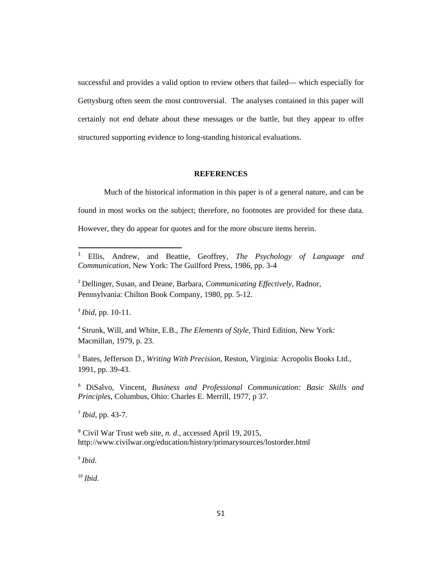successful and provides a valid option to review others that failed— which especially for Gettysburg often seem the most controversial. The analyses contained in this paper will certainly not end debate about these messages or the battle, but they appear to offer structured supporting evidence to long-standing historical evaluations.

#### **REFERENCES**

Much of the historical information in this paper is of a general nature, and can be found in most works on the subject; therefore, no footnotes are provided for these data. However, they do appear for quotes and for the more obscure items herein.

<sup>3</sup> *Ibid*, pp. 10-11.

l

<sup>4</sup> Strunk, Will, and White, E.B., *The Elements of Style*, Third Edition, New York: Macmillan, 1979, p. 23.

<sup>5</sup> Bates, Jefferson D., *Writing With Precision*, Reston, Virginia: Acropolis Books Ltd., 1991, pp. 39-43.

<sup>6</sup> DiSalvo, Vincent, *Business and Professional Communication: Basic Skills and Principles*, Columbus, Ohio: Charles E. Merrill, 1977, p 37.

<sup>7</sup> *Ibid*, pp. 43-7.

<sup>8</sup> Civil War Trust web site, *n. d*., accessed April 19, 2015, http://www.civilwar.org/education/history/primarysources/lostorder.html

<sup>9</sup> *Ibid*.

<sup>10</sup> *Ibid*.

<sup>1</sup> Ellis, Andrew, and Beattie, Geoffrey, *The Psychology of Language and Communication*, New York: The Guilford Press, 1986, pp. 3-4

<sup>2</sup> Dellinger, Susan, and Deane, Barbara, *Communicating Effectively*, Radnor, Pennsylvania: Chilton Book Company, 1980, pp. 5-12.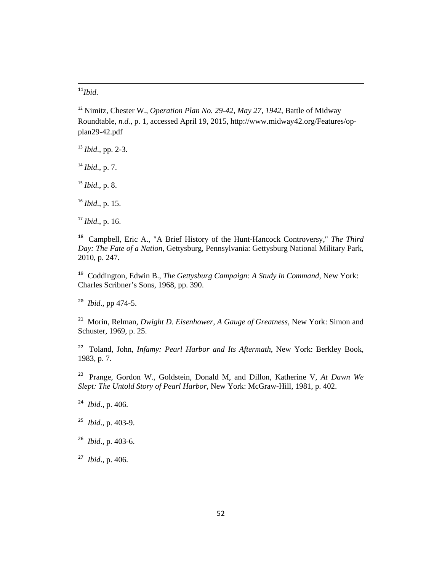*Ibid.* 

**.** 

 Nimitz, Chester W., *Operation Plan No. 29-42, May 27, 1942*, Battle of Midway Roundtable, *n.d.,* p. 1, accessed April 19, 2015, http://www.midway42.org/Features/opplan29-42.pdf

*Ibid*., pp. 2-3.

*Ibid*., p. 7.

*Ibid*., p. 8.

*Ibid*., p. 15.

*Ibid*., p. 16.

 Campbell, Eric A., "A Brief History of the Hunt-Hancock Controversy," *The Third Day: The Fate of a Nation*, Gettysburg, Pennsylvania: Gettysburg National Military Park, 2010, p. 247.

<span id="page-51-0"></span> Coddington, Edwin B., *The Gettysburg Campaign: A Study in Command,* New York: Charles Scribner's Sons, 1968, pp. 390.

*Ibid*., pp 474-5.

 Morin, Relman, *Dwight D. Eisenhower, A Gauge of Greatness*, New York: Simon and Schuster, 1969, p. 25.

 Toland, John, *Infamy: Pearl Harbor and Its Aftermath*, New York: Berkley Book, 1983, p. 7.

 Prange, Gordon W., Goldstein, Donald M, and Dillon, Katherine V, *At Dawn We Slept: The Untold Story of Pearl Harbor*, New York: McGraw-Hill, 1981, p. 402.

*Ibid*., p. 406.

- *Ibid*., p. 403-9.
- *Ibid*., p. 403-6.

*Ibid*., p. 406.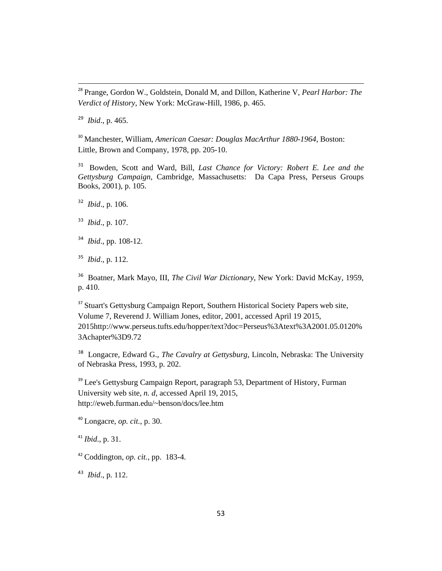28 Prange, Gordon W., Goldstein, Donald M, and Dillon, Katherine V, *Pearl Harbor: The Verdict of History*, New York: McGraw-Hill, 1986, p. 465.

<sup>29</sup> *Ibid*., p. 465.

<sup>30</sup> Manchester, William, *American Caesar: Douglas MacArthur 1880-1964*, Boston: Little, Brown and Company, 1978, pp. 205-10.

<sup>31</sup> Bowden, Scott and Ward, Bill, *Last Chance for Victory: Robert E. Lee and the Gettysburg Campaign,* Cambridge, Massachusetts: Da Capa Press, Perseus Groups Books, 2001), p. 105.

<sup>32</sup> *Ibid*., p. 106.

<sup>33</sup> *Ibid*., p. 107.

- <sup>34</sup> *Ibid*., pp. 108-12.
- <sup>35</sup> *Ibid*., p. 112.

<span id="page-52-0"></span><sup>36</sup> Boatner, Mark Mayo, III, *The Civil War Dictionary*, New York: David McKay, 1959, p. 410.

<span id="page-52-1"></span><sup>37</sup> Stuart's Gettysburg Campaign Report, Southern Historical Society Papers web site, Volume 7, Reverend J. William Jones, editor, 2001, accessed April 19 2015, 2015http://www.perseus.tufts.edu/hopper/text?doc=Perseus%3Atext%3A2001.05.0120% 3Achapter%3D9.72

<sup>38</sup> Longacre, Edward G., *The Cavalry at Gettysburg*, Lincoln, Nebraska: The University of Nebraska Press, 1993, p. 202.

<sup>39</sup> Lee's Gettysburg Campaign Report, paragraph 53, Department of History, Furman University web site, *n. d*, accessed April 19, 2015, http://eweb.furman.edu/~benson/docs/lee.htm

<sup>40</sup> Longacre, *op. cit.,* p. 30.

<sup>41</sup> *Ibid*., p. 31.

<sup>42</sup> Coddington, *op. cit.,* pp. 183-4.

<sup>43</sup> *Ibid*., p. 112.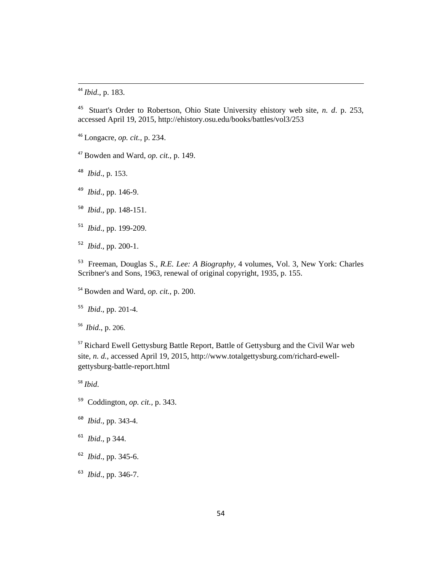*Ibid*., p. 183.

 Stuart's Order to Robertson, Ohio State University ehistory web site, *n. d*. p. 253, accessed April 19, 2015, http://ehistory.osu.edu/books/battles/vol3/253

Longacre, *op. cit.,* p. 234.

Bowden and Ward, *op. cit.,* p. 149.

*Ibid*., p. 153.

*Ibid*., pp. 146-9.

*Ibid*., pp. 148-151.

*Ibid*., pp. 199-209.

*Ibid*., pp. 200-1.

 Freeman, Douglas S., *R.E. Lee: A Biography,* 4 volumes, Vol. 3, New York: Charles Scribner's and Sons, 1963, renewal of original copyright, 1935, p. 155.

Bowden and Ward, *op. cit.,* p. 200.

*Ibid*., pp. 201-4.

<span id="page-53-0"></span>*Ibid*., p. 206.

<span id="page-53-1"></span><sup>57</sup> Richard Ewell Gettysburg Battle Report, Battle of Gettysburg and the Civil War web site, *n. d.,* accessed April 19, 2015, http://www.totalgettysburg.com/richard-ewellgettysburg-battle-report.html

*Ibid*.

- Coddington, *op. cit.,* p. 343.
- *Ibid*., pp. 343-4.
- *Ibid*., p 344.
- *Ibid*., pp. 345-6.
- *Ibid*., pp. 346-7.